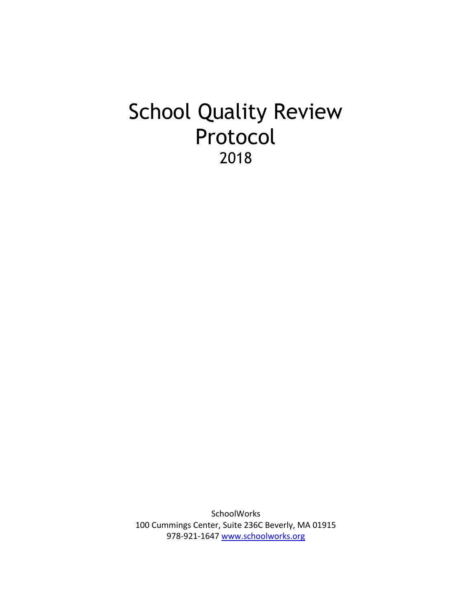# School Quality Review Protocol 2018

**SchoolWorks** 100 Cummings Center, Suite 236C Beverly, MA 01915 978-921-1647 [www.schoolworks.org](http://www.schoolworks.org/)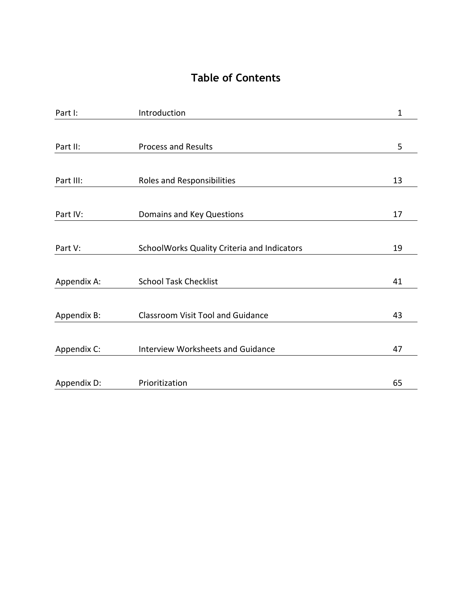# **Table of Contents**

| Part I:     | Introduction                                | 1  |
|-------------|---------------------------------------------|----|
|             |                                             |    |
| Part II:    | <b>Process and Results</b>                  | 5  |
|             |                                             |    |
| Part III:   | Roles and Responsibilities                  | 13 |
|             |                                             |    |
| Part IV:    | Domains and Key Questions                   | 17 |
|             |                                             |    |
| Part V:     | SchoolWorks Quality Criteria and Indicators | 19 |
|             |                                             |    |
| Appendix A: | <b>School Task Checklist</b>                | 41 |
|             |                                             |    |
| Appendix B: | <b>Classroom Visit Tool and Guidance</b>    | 43 |
|             |                                             |    |
| Appendix C: | <b>Interview Worksheets and Guidance</b>    | 47 |
|             |                                             |    |
| Appendix D: | Prioritization                              | 65 |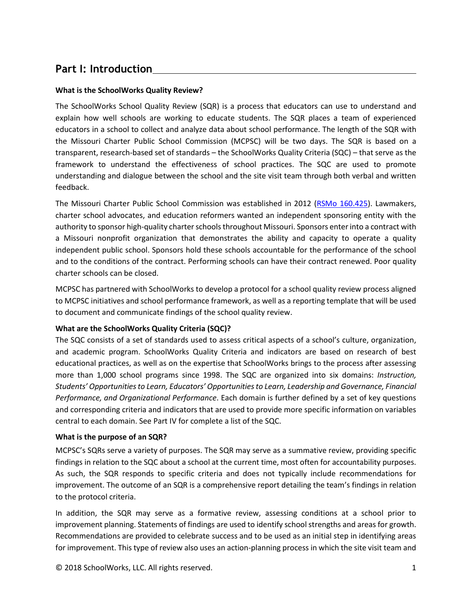# **Part I: Introduction**

# **What is the SchoolWorks Quality Review?**

The SchoolWorks School Quality Review (SQR) is a process that educators can use to understand and explain how well schools are working to educate students. The SQR places a team of experienced educators in a school to collect and analyze data about school performance. The length of the SQR with the Missouri Charter Public School Commission (MCPSC) will be two days. The SQR is based on a transparent, research-based set of standards – the SchoolWorks Quality Criteria (SQC) – that serve as the framework to understand the effectiveness of school practices. The SQC are used to promote understanding and dialogue between the school and the site visit team through both verbal and written feedback.

The Missouri Charter Public School Commission was established in 2012 [\(RSMo 160.425\)](http://www.moga.mo.gov/mostatutes/stathtml/16000004251.html). Lawmakers, charter school advocates, and education reformers wanted an independent sponsoring entity with the authority to sponsor high-quality charter schools throughout Missouri. Sponsors enter into a contract with a Missouri nonprofit organization that demonstrates the ability and capacity to operate a quality independent public school. Sponsors hold these schools accountable for the performance of the school and to the conditions of the contract. Performing schools can have their contract renewed. Poor quality charter schools can be closed.

MCPSC has partnered with SchoolWorks to develop a protocol for a school quality review process aligned to MCPSC initiatives and school performance framework, as well as a reporting template that will be used to document and communicate findings of the school quality review.

# **What are the SchoolWorks Quality Criteria (SQC)?**

The SQC consists of a set of standards used to assess critical aspects of a school's culture, organization, and academic program. SchoolWorks Quality Criteria and indicators are based on research of best educational practices, as well as on the expertise that SchoolWorks brings to the process after assessing more than 1,000 school programs since 1998. The SQC are organized into six domains: *Instruction, Students' Opportunities to Learn, Educators' Opportunities to Learn, Leadership and Governance, Financial Performance, and Organizational Performance*. Each domain is further defined by a set of key questions and corresponding criteria and indicators that are used to provide more specific information on variables central to each domain. See Part IV for complete a list of the SQC.

# **What is the purpose of an SQR?**

MCPSC's SQRs serve a variety of purposes. The SQR may serve as a summative review, providing specific findings in relation to the SQC about a school at the current time, most often for accountability purposes. As such, the SQR responds to specific criteria and does not typically include recommendations for improvement. The outcome of an SQR is a comprehensive report detailing the team's findings in relation to the protocol criteria.

In addition, the SQR may serve as a formative review, assessing conditions at a school prior to improvement planning. Statements of findings are used to identify school strengths and areas for growth. Recommendations are provided to celebrate success and to be used as an initial step in identifying areas for improvement. This type of review also uses an action-planning process in which the site visit team and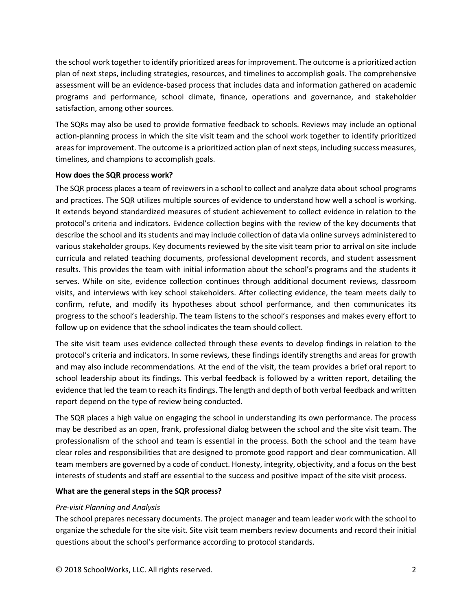the school work together to identify prioritized areas for improvement. The outcome is a prioritized action plan of next steps, including strategies, resources, and timelines to accomplish goals. The comprehensive assessment will be an evidence-based process that includes data and information gathered on academic programs and performance, school climate, finance, operations and governance, and stakeholder satisfaction, among other sources.

The SQRs may also be used to provide formative feedback to schools. Reviews may include an optional action-planning process in which the site visit team and the school work together to identify prioritized areas for improvement. The outcome is a prioritized action plan of next steps, including success measures, timelines, and champions to accomplish goals.

#### **How does the SQR process work?**

The SQR process places a team of reviewers in a school to collect and analyze data about school programs and practices. The SQR utilizes multiple sources of evidence to understand how well a school is working. It extends beyond standardized measures of student achievement to collect evidence in relation to the protocol's criteria and indicators. Evidence collection begins with the review of the key documents that describe the school and its students and may include collection of data via online surveys administered to various stakeholder groups. Key documents reviewed by the site visit team prior to arrival on site include curricula and related teaching documents, professional development records, and student assessment results. This provides the team with initial information about the school's programs and the students it serves. While on site, evidence collection continues through additional document reviews, classroom visits, and interviews with key school stakeholders. After collecting evidence, the team meets daily to confirm, refute, and modify its hypotheses about school performance, and then communicates its progress to the school's leadership. The team listens to the school's responses and makes every effort to follow up on evidence that the school indicates the team should collect.

The site visit team uses evidence collected through these events to develop findings in relation to the protocol's criteria and indicators. In some reviews, these findings identify strengths and areas for growth and may also include recommendations. At the end of the visit, the team provides a brief oral report to school leadership about its findings. This verbal feedback is followed by a written report, detailing the evidence that led the team to reach its findings. The length and depth of both verbal feedback and written report depend on the type of review being conducted.

The SQR places a high value on engaging the school in understanding its own performance. The process may be described as an open, frank, professional dialog between the school and the site visit team. The professionalism of the school and team is essential in the process. Both the school and the team have clear roles and responsibilities that are designed to promote good rapport and clear communication. All team members are governed by a code of conduct. Honesty, integrity, objectivity, and a focus on the best interests of students and staff are essential to the success and positive impact of the site visit process.

#### **What are the general steps in the SQR process?**

#### *Pre-visit Planning and Analysis*

The school prepares necessary documents. The project manager and team leader work with the school to organize the schedule for the site visit. Site visit team members review documents and record their initial questions about the school's performance according to protocol standards.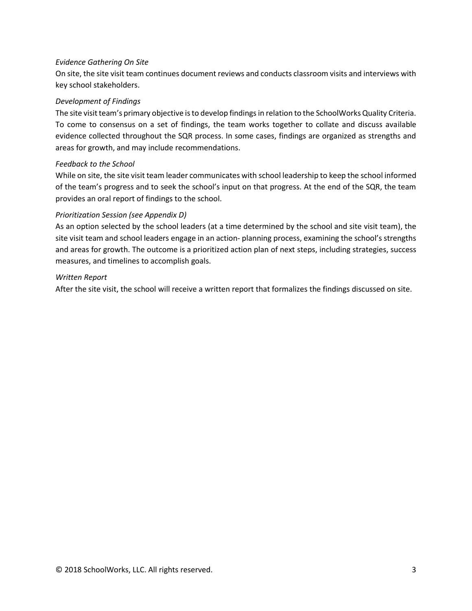#### *Evidence Gathering On Site*

On site, the site visit team continues document reviews and conducts classroom visits and interviews with key school stakeholders.

#### *Development of Findings*

The site visit team's primary objective is to develop findings in relation to the SchoolWorks Quality Criteria. To come to consensus on a set of findings, the team works together to collate and discuss available evidence collected throughout the SQR process. In some cases, findings are organized as strengths and areas for growth, and may include recommendations.

#### *Feedback to the School*

While on site, the site visit team leader communicates with school leadership to keep the school informed of the team's progress and to seek the school's input on that progress. At the end of the SQR, the team provides an oral report of findings to the school.

# *Prioritization Session (see Appendix D)*

As an option selected by the school leaders (at a time determined by the school and site visit team), the site visit team and school leaders engage in an action- planning process, examining the school's strengths and areas for growth. The outcome is a prioritized action plan of next steps, including strategies, success measures, and timelines to accomplish goals.

#### *Written Report*

After the site visit, the school will receive a written report that formalizes the findings discussed on site.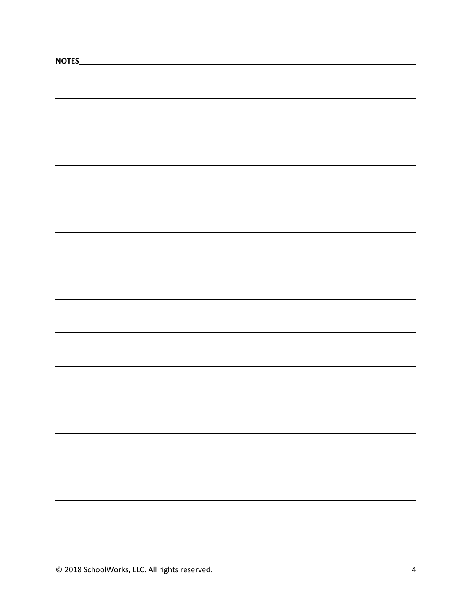| NOTES<br><u> 1980 - Andrea Brand, amerikansk politik (</u> |  |
|------------------------------------------------------------|--|
|                                                            |  |
|                                                            |  |
|                                                            |  |
|                                                            |  |
|                                                            |  |
|                                                            |  |
|                                                            |  |
|                                                            |  |
|                                                            |  |
|                                                            |  |
|                                                            |  |
|                                                            |  |
|                                                            |  |
|                                                            |  |
|                                                            |  |
|                                                            |  |
|                                                            |  |
|                                                            |  |
|                                                            |  |
|                                                            |  |
|                                                            |  |
|                                                            |  |
|                                                            |  |
|                                                            |  |
|                                                            |  |
|                                                            |  |
|                                                            |  |
|                                                            |  |
|                                                            |  |
|                                                            |  |
|                                                            |  |
|                                                            |  |
|                                                            |  |
|                                                            |  |
|                                                            |  |
|                                                            |  |
|                                                            |  |
|                                                            |  |
|                                                            |  |
|                                                            |  |
|                                                            |  |
|                                                            |  |
|                                                            |  |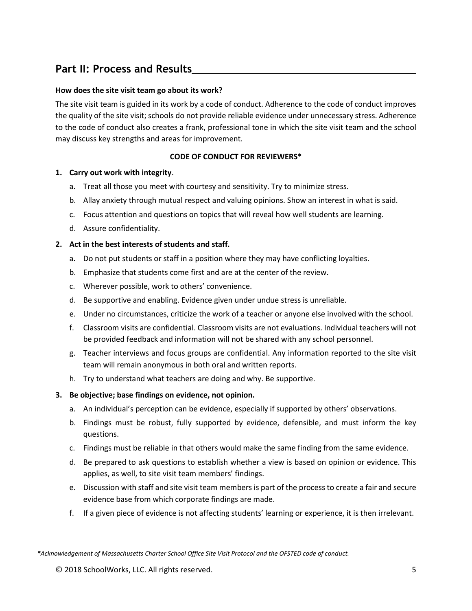# **Part II: Process and Results**

### **How does the site visit team go about its work?**

The site visit team is guided in its work by a code of conduct. Adherence to the code of conduct improves the quality of the site visit; schools do not provide reliable evidence under unnecessary stress. Adherence to the code of conduct also creates a frank, professional tone in which the site visit team and the school may discuss key strengths and areas for improvement.

### **CODE OF CONDUCT FOR REVIEWERS\***

#### **1. Carry out work with integrity**.

- a. Treat all those you meet with courtesy and sensitivity. Try to minimize stress.
- b. Allay anxiety through mutual respect and valuing opinions. Show an interest in what is said.
- c. Focus attention and questions on topics that will reveal how well students are learning.
- d. Assure confidentiality.

#### **2. Act in the best interests of students and staff.**

- a. Do not put students or staff in a position where they may have conflicting loyalties.
- b. Emphasize that students come first and are at the center of the review.
- c. Wherever possible, work to others' convenience.
- d. Be supportive and enabling. Evidence given under undue stress is unreliable.
- e. Under no circumstances, criticize the work of a teacher or anyone else involved with the school.
- f. Classroom visits are confidential. Classroom visits are not evaluations. Individual teachers will not be provided feedback and information will not be shared with any school personnel.
- g. Teacher interviews and focus groups are confidential. Any information reported to the site visit team will remain anonymous in both oral and written reports.
- h. Try to understand what teachers are doing and why. Be supportive.
- **3. Be objective; base findings on evidence, not opinion.**
	- a. An individual's perception can be evidence, especially if supported by others' observations.
	- b. Findings must be robust, fully supported by evidence, defensible, and must inform the key questions.
	- c. Findings must be reliable in that others would make the same finding from the same evidence.
	- d. Be prepared to ask questions to establish whether a view is based on opinion or evidence. This applies, as well, to site visit team members' findings.
	- e. Discussion with staff and site visit team members is part of the process to create a fair and secure evidence base from which corporate findings are made.
	- f. If a given piece of evidence is not affecting students' learning or experience, it is then irrelevant.

*\*Acknowledgement of Massachusetts Charter School Office Site Visit Protocol and the OFSTED code of conduct.*

© 2018 SchoolWorks, LLC. All rights reserved. 5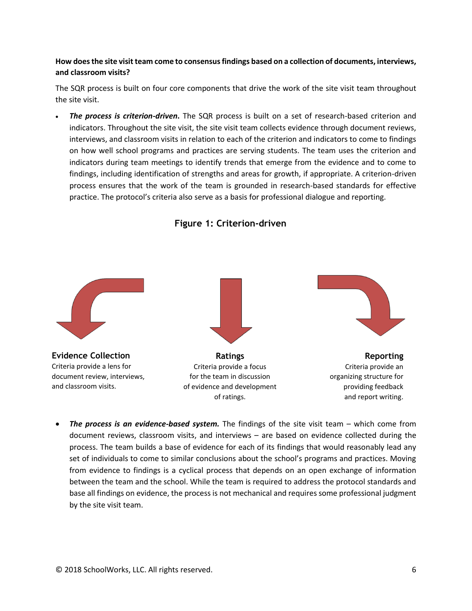# **How does the site visit team come to consensus findings based on a collection of documents, interviews, and classroom visits?**

The SQR process is built on four core components that drive the work of the site visit team throughout the site visit.

• *The process is criterion-driven***.** The SQR process is built on a set of research-based criterion and indicators. Throughout the site visit, the site visit team collects evidence through document reviews, interviews, and classroom visits in relation to each of the criterion and indicators to come to findings on how well school programs and practices are serving students. The team uses the criterion and indicators during team meetings to identify trends that emerge from the evidence and to come to findings, including identification of strengths and areas for growth, if appropriate. A criterion-driven process ensures that the work of the team is grounded in research-based standards for effective practice. The protocol's criteria also serve as a basis for professional dialogue and reporting.



**Figure 1: Criterion-driven**

• *The process is an evidence-based system.* The findings of the site visit team – which come from document reviews, classroom visits, and interviews – are based on evidence collected during the process. The team builds a base of evidence for each of its findings that would reasonably lead any set of individuals to come to similar conclusions about the school's programs and practices. Moving from evidence to findings is a cyclical process that depends on an open exchange of information between the team and the school. While the team is required to address the protocol standards and base all findings on evidence, the process is not mechanical and requires some professional judgment by the site visit team.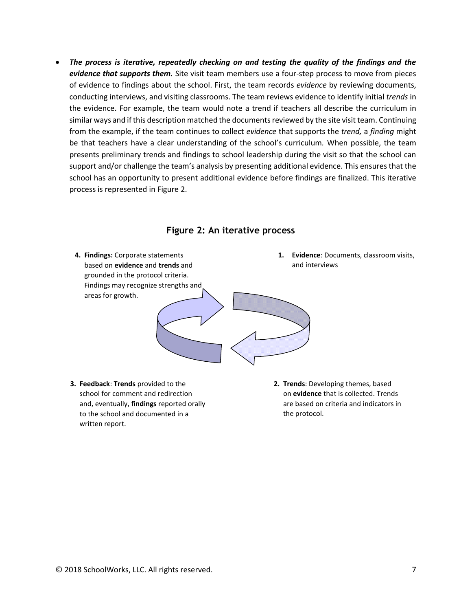• *The process is iterative, repeatedly checking on and testing the quality of the findings and the evidence that supports them.* Site visit team members use a four-step process to move from pieces of evidence to findings about the school. First, the team records *evidence* by reviewing documents, conducting interviews, and visiting classrooms. The team reviews evidence to identify initial *trends* in the evidence. For example, the team would note a trend if teachers all describe the curriculum in similar ways and if this description matched the documents reviewed by the site visit team. Continuing from the example, if the team continues to collect *evidence* that supports the *trend,* a *finding* might be that teachers have a clear understanding of the school's curriculum*.* When possible, the team presents preliminary trends and findings to school leadership during the visit so that the school can support and/or challenge the team's analysis by presenting additional evidence. This ensures that the school has an opportunity to present additional evidence before findings are finalized. This iterative process is represented in Figure 2.



#### **Figure 2: An iterative process**

**3. Feedback**: **Trends** provided to the school for comment and redirection and, eventually, **findings** reported orally to the school and documented in a written report.

**2. Trends**: Developing themes, based on **evidence** that is collected. Trends are based on criteria and indicators in the protocol.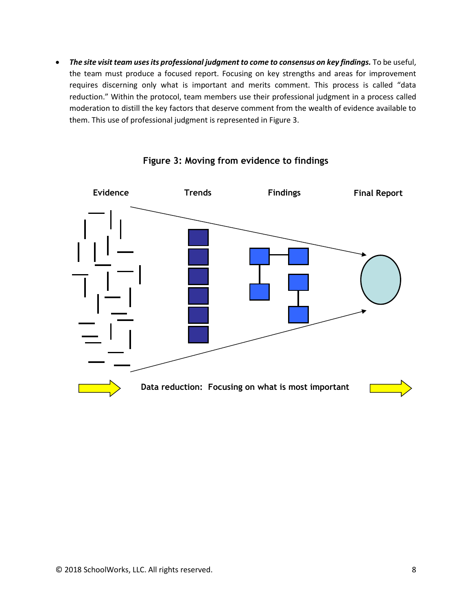• *The site visit team uses its professional judgment to come to consensus on key findings.* To be useful, the team must produce a focused report. Focusing on key strengths and areas for improvement requires discerning only what is important and merits comment. This process is called "data reduction." Within the protocol, team members use their professional judgment in a process called moderation to distill the key factors that deserve comment from the wealth of evidence available to them. This use of professional judgment is represented in Figure 3.



**Figure 3: Moving from evidence to findings**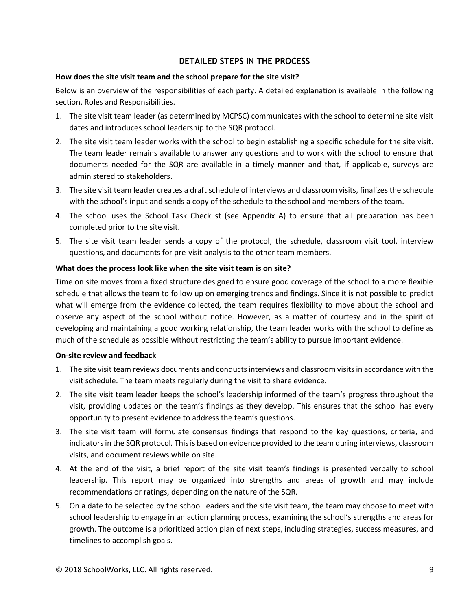# **DETAILED STEPS IN THE PROCESS**

#### **How does the site visit team and the school prepare for the site visit?**

Below is an overview of the responsibilities of each party. A detailed explanation is available in the following section, Roles and Responsibilities.

- 1. The site visit team leader (as determined by MCPSC) communicates with the school to determine site visit dates and introduces school leadership to the SQR protocol.
- 2. The site visit team leader works with the school to begin establishing a specific schedule for the site visit. The team leader remains available to answer any questions and to work with the school to ensure that documents needed for the SQR are available in a timely manner and that, if applicable, surveys are administered to stakeholders.
- 3. The site visit team leader creates a draft schedule of interviews and classroom visits, finalizes the schedule with the school's input and sends a copy of the schedule to the school and members of the team.
- 4. The school uses the School Task Checklist (see Appendix A) to ensure that all preparation has been completed prior to the site visit.
- 5. The site visit team leader sends a copy of the protocol, the schedule, classroom visit tool, interview questions, and documents for pre-visit analysis to the other team members.

#### **What does the process look like when the site visit team is on site?**

Time on site moves from a fixed structure designed to ensure good coverage of the school to a more flexible schedule that allows the team to follow up on emerging trends and findings. Since it is not possible to predict what will emerge from the evidence collected, the team requires flexibility to move about the school and observe any aspect of the school without notice. However, as a matter of courtesy and in the spirit of developing and maintaining a good working relationship, the team leader works with the school to define as much of the schedule as possible without restricting the team's ability to pursue important evidence.

#### **On-site review and feedback**

- 1. The site visit team reviews documents and conducts interviews and classroom visits in accordance with the visit schedule. The team meets regularly during the visit to share evidence.
- 2. The site visit team leader keeps the school's leadership informed of the team's progress throughout the visit, providing updates on the team's findings as they develop. This ensures that the school has every opportunity to present evidence to address the team's questions.
- 3. The site visit team will formulate consensus findings that respond to the key questions, criteria, and indicators in the SQR protocol*.* This is based on evidence provided to the team during interviews, classroom visits, and document reviews while on site.
- 4. At the end of the visit, a brief report of the site visit team's findings is presented verbally to school leadership. This report may be organized into strengths and areas of growth and may include recommendations or ratings, depending on the nature of the SQR.
- 5. On a date to be selected by the school leaders and the site visit team, the team may choose to meet with school leadership to engage in an action planning process, examining the school's strengths and areas for growth. The outcome is a prioritized action plan of next steps, including strategies, success measures, and timelines to accomplish goals.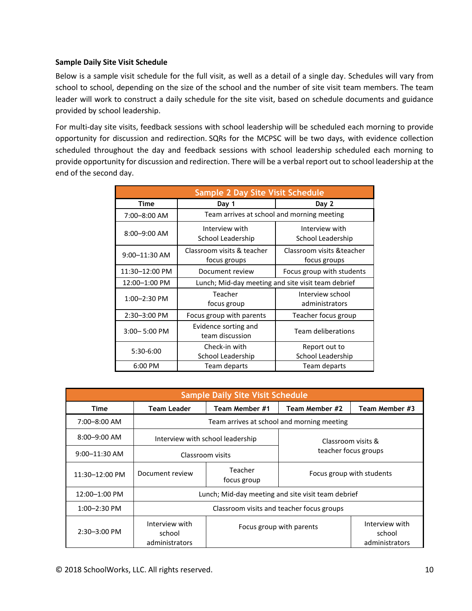#### **Sample Daily Site Visit Schedule**

Below is a sample visit schedule for the full visit, as well as a detail of a single day. Schedules will vary from school to school, depending on the size of the school and the number of site visit team members. The team leader will work to construct a daily schedule for the site visit, based on schedule documents and guidance provided by school leadership.

For multi-day site visits, feedback sessions with school leadership will be scheduled each morning to provide opportunity for discussion and redirection. SQRs for the MCPSC will be two days, with evidence collection scheduled throughout the day and feedback sessions with school leadership scheduled each morning to provide opportunity for discussion and redirection. There will be a verbal report out to school leadership at the end of the second day.

| <b>Sample 2 Day Site Visit Schedule</b> |                                                    |                                            |  |
|-----------------------------------------|----------------------------------------------------|--------------------------------------------|--|
| Time                                    | Day 1<br>Day 2                                     |                                            |  |
| 7:00-8:00 AM                            | Team arrives at school and morning meeting         |                                            |  |
| $8:00 - 9:00$ AM                        | Interview with<br>School Leadership                | Interview with<br>School Leadership        |  |
| $9:00 - 11:30$ AM                       | Classroom visits & teacher<br>focus groups         | Classroom visits & teacher<br>focus groups |  |
| 11:30-12:00 PM                          | Document review                                    | Focus group with students                  |  |
| 12:00-1:00 PM                           | Lunch; Mid-day meeting and site visit team debrief |                                            |  |
| $1:00 - 2:30$ PM                        | Teacher<br>focus group                             | Interview school<br>administrators         |  |
| 2:30-3:00 PM                            | Focus group with parents                           | Teacher focus group                        |  |
| $3:00 - 5:00$ PM                        | Evidence sorting and<br>team discussion            | Team deliberations                         |  |
| 5:30-6:00                               | Check-in with<br>School Leadership                 | Report out to<br>School Leadership         |  |
| 6:00 PM                                 | Team departs                                       | Team departs                               |  |

| <b>Sample Daily Site Visit Schedule</b> |                                                    |                          |                                            |                                            |
|-----------------------------------------|----------------------------------------------------|--------------------------|--------------------------------------------|--------------------------------------------|
| Time                                    | <b>Team Leader</b>                                 | Team Member #1           | Team Member #2                             | Team Member #3                             |
| $7:00 - 8:00$ AM                        | Team arrives at school and morning meeting         |                          |                                            |                                            |
| $8:00 - 9:00$ AM                        | Interview with school leadership                   |                          | Classroom visits &<br>teacher focus groups |                                            |
| $9:00 - 11:30$ AM                       | Classroom visits                                   |                          |                                            |                                            |
| 11:30-12:00 PM                          | Document review                                    | Teacher<br>focus group   | Focus group with students                  |                                            |
| 12:00-1:00 PM                           | Lunch; Mid-day meeting and site visit team debrief |                          |                                            |                                            |
| $1:00 - 2:30$ PM                        | Classroom visits and teacher focus groups          |                          |                                            |                                            |
| $2:30 - 3:00$ PM                        | Interview with<br>school<br>administrators         | Focus group with parents |                                            | Interview with<br>school<br>administrators |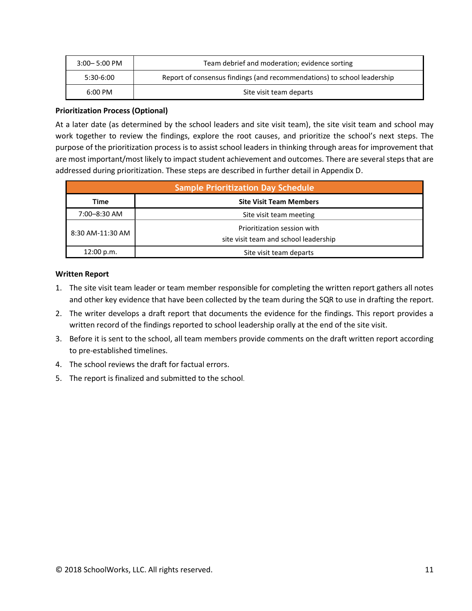| $3:00 - 5:00$ PM  | Team debrief and moderation; evidence sorting                           |
|-------------------|-------------------------------------------------------------------------|
| 5:30-6:00         | Report of consensus findings (and recommendations) to school leadership |
| $6:00 \text{ PM}$ | Site visit team departs                                                 |

#### **Prioritization Process (Optional)**

At a later date (as determined by the school leaders and site visit team), the site visit team and school may work together to review the findings, explore the root causes, and prioritize the school's next steps. The purpose of the prioritization process is to assist school leaders in thinking through areas for improvement that are most important/most likely to impact student achievement and outcomes. There are several steps that are addressed during prioritization. These steps are described in further detail in Appendix D.

| <b>Sample Prioritization Day Schedule</b> |                                                                      |  |
|-------------------------------------------|----------------------------------------------------------------------|--|
| Time                                      | <b>Site Visit Team Members</b>                                       |  |
| 7:00-8:30 AM                              | Site visit team meeting                                              |  |
| 8:30 AM-11:30 AM                          | Prioritization session with<br>site visit team and school leadership |  |
| 12:00 p.m.                                | Site visit team departs                                              |  |

#### **Written Report**

- 1. The site visit team leader or team member responsible for completing the written report gathers all notes and other key evidence that have been collected by the team during the SQR to use in drafting the report.
- 2. The writer develops a draft report that documents the evidence for the findings. This report provides a written record of the findings reported to school leadership orally at the end of the site visit.
- 3. Before it is sent to the school, all team members provide comments on the draft written report according to pre-established timelines.
- 4. The school reviews the draft for factual errors.
- 5. The report is finalized and submitted to the school.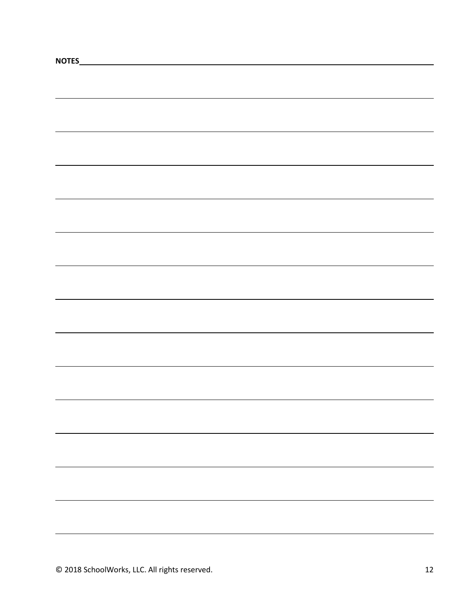| NOTES_ |  |  |
|--------|--|--|
|        |  |  |
|        |  |  |
|        |  |  |
|        |  |  |
|        |  |  |
|        |  |  |
|        |  |  |
|        |  |  |
|        |  |  |
|        |  |  |
|        |  |  |
|        |  |  |
|        |  |  |
|        |  |  |
|        |  |  |
|        |  |  |
|        |  |  |
|        |  |  |
|        |  |  |
|        |  |  |
|        |  |  |
|        |  |  |
|        |  |  |
|        |  |  |
|        |  |  |
|        |  |  |
|        |  |  |
|        |  |  |
|        |  |  |
|        |  |  |
|        |  |  |
|        |  |  |
|        |  |  |
|        |  |  |
|        |  |  |
|        |  |  |
|        |  |  |
|        |  |  |
|        |  |  |
|        |  |  |
|        |  |  |
|        |  |  |
|        |  |  |
|        |  |  |
|        |  |  |
|        |  |  |
|        |  |  |
|        |  |  |
|        |  |  |
|        |  |  |
|        |  |  |
|        |  |  |
|        |  |  |
|        |  |  |
|        |  |  |
|        |  |  |
|        |  |  |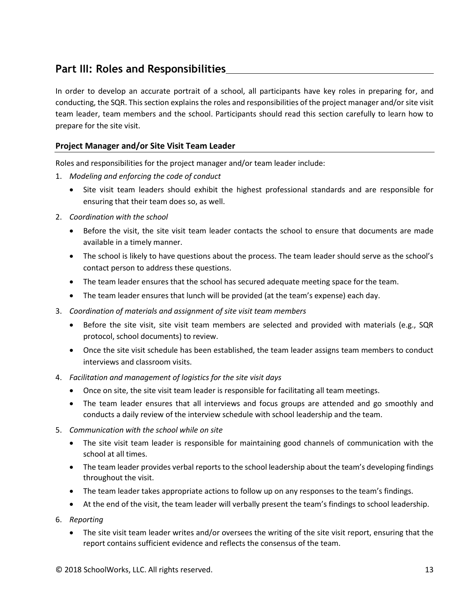# **Part III: Roles and Responsibilities**

In order to develop an accurate portrait of a school, all participants have key roles in preparing for, and conducting, the SQR. This section explains the roles and responsibilities of the project manager and/or site visit team leader, team members and the school. Participants should read this section carefully to learn how to prepare for the site visit.

# **Project Manager and/or Site Visit Team Leader**

Roles and responsibilities for the project manager and/or team leader include:

- 1. *Modeling and enforcing the code of conduct*
	- Site visit team leaders should exhibit the highest professional standards and are responsible for ensuring that their team does so, as well.
- 2. *Coordination with the school*
	- Before the visit, the site visit team leader contacts the school to ensure that documents are made available in a timely manner.
	- The school is likely to have questions about the process. The team leader should serve as the school's contact person to address these questions.
	- The team leader ensures that the school has secured adequate meeting space for the team.
	- The team leader ensures that lunch will be provided (at the team's expense) each day.
- 3. *Coordination of materials and assignment of site visit team members*
	- Before the site visit, site visit team members are selected and provided with materials (e.g., SQR protocol, school documents) to review.
	- Once the site visit schedule has been established, the team leader assigns team members to conduct interviews and classroom visits.
- 4. *Facilitation and management of logistics for the site visit days*
	- Once on site, the site visit team leader is responsible for facilitating all team meetings.
	- The team leader ensures that all interviews and focus groups are attended and go smoothly and conducts a daily review of the interview schedule with school leadership and the team.
- 5. *Communication with the school while on site*
	- The site visit team leader is responsible for maintaining good channels of communication with the school at all times.
	- The team leader provides verbal reports to the school leadership about the team's developing findings throughout the visit.
	- The team leader takes appropriate actions to follow up on any responses to the team's findings.
	- At the end of the visit, the team leader will verbally present the team's findings to school leadership.
- 6. *Reporting*
	- The site visit team leader writes and/or oversees the writing of the site visit report, ensuring that the report contains sufficient evidence and reflects the consensus of the team.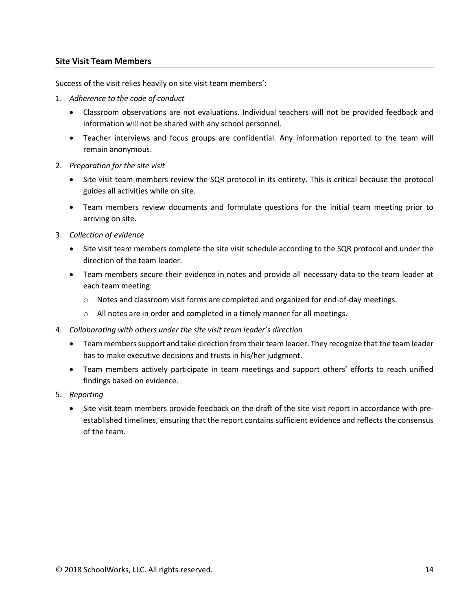#### **Site Visit Team Members**

Success of the visit relies heavily on site visit team members':

- 1. *Adherence to the code of conduct*
	- Classroom observations are not evaluations. Individual teachers will not be provided feedback and information will not be shared with any school personnel.
	- Teacher interviews and focus groups are confidential. Any information reported to the team will remain anonymous.
- 2. *Preparation for the site visit*
	- Site visit team members review the SQR protocol in its entirety. This is critical because the protocol guides all activities while on site.
	- Team members review documents and formulate questions for the initial team meeting prior to arriving on site.
- 3. *Collection of evidence*
	- Site visit team members complete the site visit schedule according to the SQR protocol and under the direction of the team leader.
	- Team members secure their evidence in notes and provide all necessary data to the team leader at each team meeting:
		- o Notes and classroom visit forms are completed and organized for end-of-day meetings.
		- o All notes are in order and completed in a timely manner for all meetings.
- 4. *Collaborating with others under the site visit team leader's direction*
	- Team members support and take direction from their team leader. They recognize that the team leader has to make executive decisions and trusts in his/her judgment.
	- Team members actively participate in team meetings and support others' efforts to reach unified findings based on evidence.
- 5. *Reporting*
	- Site visit team members provide feedback on the draft of the site visit report in accordance with preestablished timelines, ensuring that the report contains sufficient evidence and reflects the consensus of the team.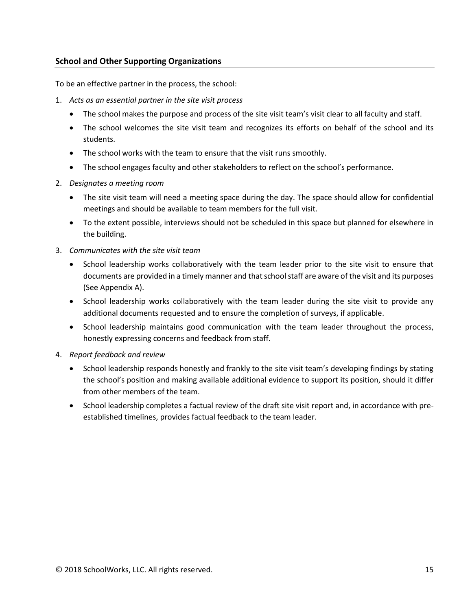### **School and Other Supporting Organizations**

To be an effective partner in the process, the school:

- 1. *Acts as an essential partner in the site visit process*
	- The school makes the purpose and process of the site visit team's visit clear to all faculty and staff.
	- The school welcomes the site visit team and recognizes its efforts on behalf of the school and its students.
	- The school works with the team to ensure that the visit runs smoothly.
	- The school engages faculty and other stakeholders to reflect on the school's performance.
- 2. *Designates a meeting room*
	- The site visit team will need a meeting space during the day. The space should allow for confidential meetings and should be available to team members for the full visit.
	- To the extent possible, interviews should not be scheduled in this space but planned for elsewhere in the building.
- 3. *Communicates with the site visit team*
	- School leadership works collaboratively with the team leader prior to the site visit to ensure that documents are provided in a timely manner and that school staff are aware of the visit and its purposes (See Appendix A).
	- School leadership works collaboratively with the team leader during the site visit to provide any additional documents requested and to ensure the completion of surveys, if applicable.
	- School leadership maintains good communication with the team leader throughout the process, honestly expressing concerns and feedback from staff.
- 4. *Report feedback and review*
	- School leadership responds honestly and frankly to the site visit team's developing findings by stating the school's position and making available additional evidence to support its position, should it differ from other members of the team.
	- School leadership completes a factual review of the draft site visit report and, in accordance with preestablished timelines, provides factual feedback to the team leader.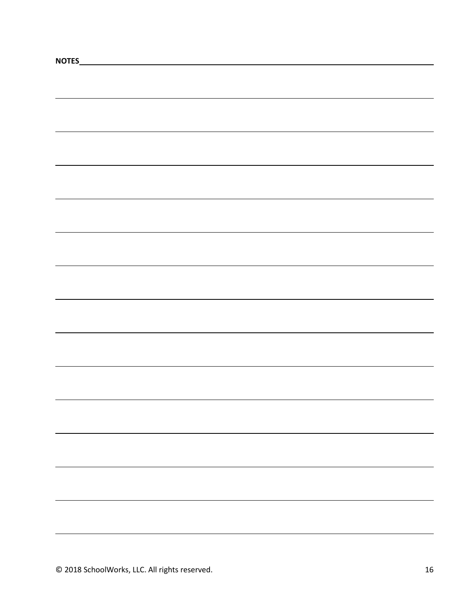| NOTES_ |  |  |
|--------|--|--|
|        |  |  |
|        |  |  |
|        |  |  |
|        |  |  |
|        |  |  |
|        |  |  |
|        |  |  |
|        |  |  |
|        |  |  |
|        |  |  |
|        |  |  |
|        |  |  |
|        |  |  |
|        |  |  |
|        |  |  |
|        |  |  |
|        |  |  |
|        |  |  |
|        |  |  |
|        |  |  |
|        |  |  |
|        |  |  |
|        |  |  |
|        |  |  |
|        |  |  |
|        |  |  |
|        |  |  |
|        |  |  |
|        |  |  |
|        |  |  |
|        |  |  |
|        |  |  |
|        |  |  |
|        |  |  |
|        |  |  |
|        |  |  |
|        |  |  |
|        |  |  |
|        |  |  |
|        |  |  |
|        |  |  |
|        |  |  |
|        |  |  |
|        |  |  |
|        |  |  |
|        |  |  |
|        |  |  |
|        |  |  |
|        |  |  |
|        |  |  |
|        |  |  |
|        |  |  |
|        |  |  |
|        |  |  |
|        |  |  |
|        |  |  |
|        |  |  |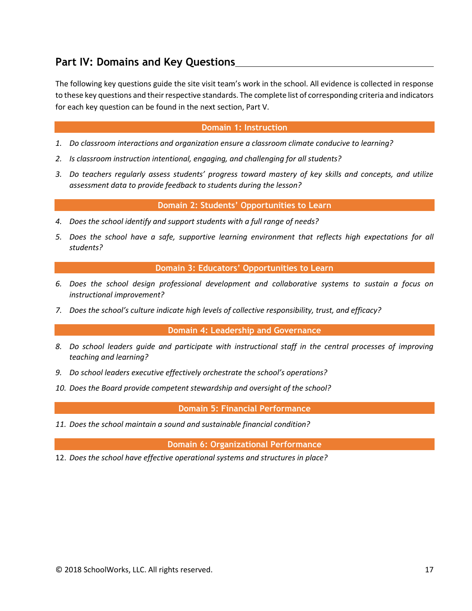# **Part IV: Domains and Key Questions**

The following key questions guide the site visit team's work in the school. All evidence is collected in response to these key questions and their respective standards. The complete list of corresponding criteria and indicators for each key question can be found in the next section, Part V.

#### **Domain 1: Instruction**

- *1. Do classroom interactions and organization ensure a classroom climate conducive to learning?*
- *2. Is classroom instruction intentional, engaging, and challenging for all students?*
- *3. Do teachers regularly assess students' progress toward mastery of key skills and concepts, and utilize assessment data to provide feedback to students during the lesson?*

**Domain 2: Students' Opportunities to Learn**

- *4. Does the school identify and support students with a full range of needs?*
- *5. Does the school have a safe, supportive learning environment that reflects high expectations for all students?*

**Domain 3: Educators' Opportunities to Learn**

- *6. Does the school design professional development and collaborative systems to sustain a focus on instructional improvement?*
- *7. Does the school's culture indicate high levels of collective responsibility, trust, and efficacy?*

**Domain 4: Leadership and Governance**

- *8. Do school leaders guide and participate with instructional staff in the central processes of improving teaching and learning?*
- *9. Do school leaders executive effectively orchestrate the school's operations?*
- *10. Does the Board provide competent stewardship and oversight of the school?*

**Domain 5: Financial Performance**

*11. Does the school maintain a sound and sustainable financial condition?*

**Domain 6: Organizational Performance**

12. *Does the school have effective operational systems and structures in place?*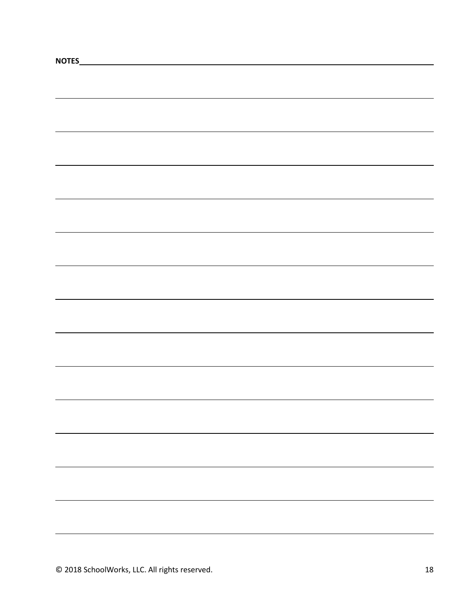| NOTES_ |  |  |
|--------|--|--|
|        |  |  |
|        |  |  |
|        |  |  |
|        |  |  |
|        |  |  |
|        |  |  |
|        |  |  |
|        |  |  |
|        |  |  |
|        |  |  |
|        |  |  |
|        |  |  |
|        |  |  |
|        |  |  |
|        |  |  |
|        |  |  |
|        |  |  |
|        |  |  |
|        |  |  |
|        |  |  |
|        |  |  |
|        |  |  |
|        |  |  |
|        |  |  |
|        |  |  |
|        |  |  |
|        |  |  |
|        |  |  |
|        |  |  |
|        |  |  |
|        |  |  |
|        |  |  |
|        |  |  |
|        |  |  |
|        |  |  |
|        |  |  |
|        |  |  |
|        |  |  |
|        |  |  |
|        |  |  |
|        |  |  |
|        |  |  |
|        |  |  |
|        |  |  |
|        |  |  |
|        |  |  |
|        |  |  |
|        |  |  |
|        |  |  |
|        |  |  |
|        |  |  |
|        |  |  |
|        |  |  |
|        |  |  |
|        |  |  |
|        |  |  |
|        |  |  |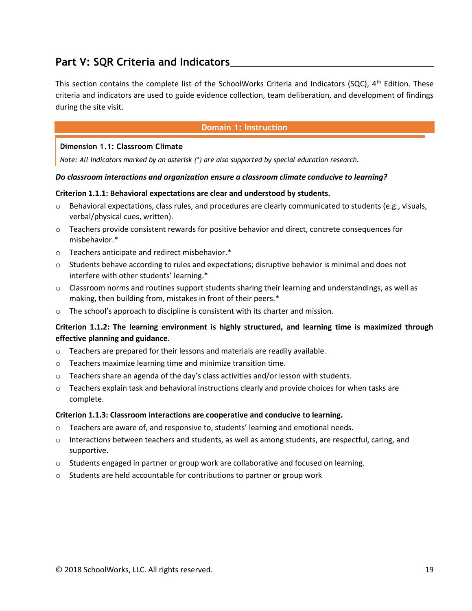# **Part V: SQR Criteria and Indicators**

This section contains the complete list of the SchoolWorks Criteria and Indicators (SQC),  $4<sup>th</sup>$  Edition. These criteria and indicators are used to guide evidence collection, team deliberation, and development of findings during the site visit.

#### **Domain 1: Instruction**

#### **Dimension 1.1: Classroom Climate**

*Note: All indicators marked by an asterisk (\*) are also supported by special education research.*

#### *Do classroom interactions and organization ensure a classroom climate conducive to learning?*

#### **Criterion 1.1.1: Behavioral expectations are clear and understood by students.**

- o Behavioral expectations, class rules, and procedures are clearly communicated to students (e.g., visuals, verbal/physical cues, written).
- o Teachers provide consistent rewards for positive behavior and direct, concrete consequences for misbehavior.\*
- o Teachers anticipate and redirect misbehavior.\*
- $\circ$  Students behave according to rules and expectations; disruptive behavior is minimal and does not interfere with other students' learning.\*
- $\circ$  Classroom norms and routines support students sharing their learning and understandings, as well as making, then building from, mistakes in front of their peers.\*
- o The school's approach to discipline is consistent with its charter and mission.

# **Criterion 1.1.2: The learning environment is highly structured, and learning time is maximized through effective planning and guidance.**

- o Teachers are prepared for their lessons and materials are readily available.
- o Teachers maximize learning time and minimize transition time.
- $\circ$  Teachers share an agenda of the day's class activities and/or lesson with students.
- $\circ$  Teachers explain task and behavioral instructions clearly and provide choices for when tasks are complete.

#### **Criterion 1.1.3: Classroom interactions are cooperative and conducive to learning.**

- $\circ$  Teachers are aware of, and responsive to, students' learning and emotional needs.
- o Interactions between teachers and students, as well as among students, are respectful, caring, and supportive.
- $\circ$  Students engaged in partner or group work are collaborative and focused on learning.
- o Students are held accountable for contributions to partner or group work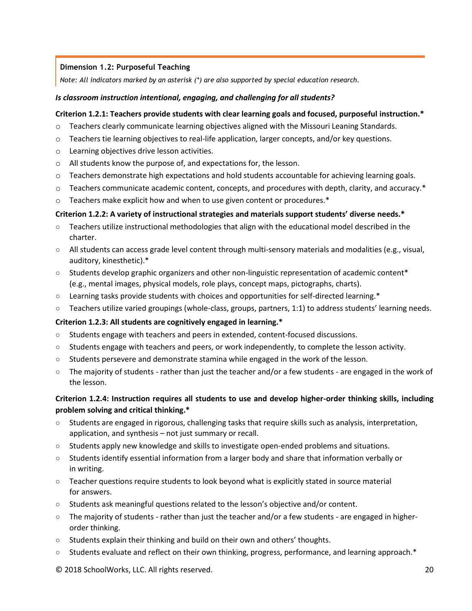### **Dimension 1.2: Purposeful Teaching**

*Note: All indicators marked by an asterisk (\*) are also supported by special education research.*

#### *Is classroom instruction intentional, engaging, and challenging for all students?*

#### **Criterion 1.2.1: Teachers provide students with clear learning goals and focused, purposeful instruction.\***

- o Teachers clearly communicate learning objectives aligned with the Missouri Leaning Standards.
- $\circ$  Teachers tie learning objectives to real-life application, larger concepts, and/or key questions.
- o Learning objectives drive lesson activities.
- o All students know the purpose of, and expectations for, the lesson.
- $\circ$  Teachers demonstrate high expectations and hold students accountable for achieving learning goals.
- $\circ$  Teachers communicate academic content, concepts, and procedures with depth, clarity, and accuracy.\*
- $\circ$  Teachers make explicit how and when to use given content or procedures.\*

#### **Criterion 1.2.2: A variety of instructional strategies and materials support students' diverse needs.\***

- Teachers utilize instructional methodologies that align with the educational model described in the charter.
- All students can access grade level content through multi-sensory materials and modalities (e.g., visual, auditory, kinesthetic).\*
- $\circ$  Students develop graphic organizers and other non-linguistic representation of academic content\* (e.g., mental images, physical models, role plays, concept maps, pictographs, charts).
- Learning tasks provide students with choices and opportunities for self-directed learning.\*
- Teachers utilize varied groupings (whole-class, groups, partners, 1:1) to address students' learning needs.

#### **Criterion 1.2.3: All students are cognitively engaged in learning.\***

- Students engage with teachers and peers in extended, content-focused discussions.
- Students engage with teachers and peers, or work independently, to complete the lesson activity.
- $\circ$  Students persevere and demonstrate stamina while engaged in the work of the lesson.
- The majority of students rather than just the teacher and/or a few students are engaged in the work of the lesson.

# **Criterion 1.2.4: Instruction requires all students to use and develop higher-order thinking skills, including problem solving and critical thinking.\***

- Students are engaged in rigorous, challenging tasks that require skills such as analysis, interpretation, application, and synthesis – not just summary or recall.
- Students apply new knowledge and skills to investigate open-ended problems and situations.
- Students identify essential information from a larger body and share that information verbally or in writing.
- Teacher questions require students to look beyond what is explicitly stated in source material for answers.
- Students ask meaningful questions related to the lesson's objective and/or content.
- $\circ$  The majority of students rather than just the teacher and/or a few students are engaged in higherorder thinking.
- Students explain their thinking and build on their own and others' thoughts.
- Students evaluate and reflect on their own thinking, progress, performance, and learning approach.\*
- © 2018 SchoolWorks, LLC. All rights reserved. 20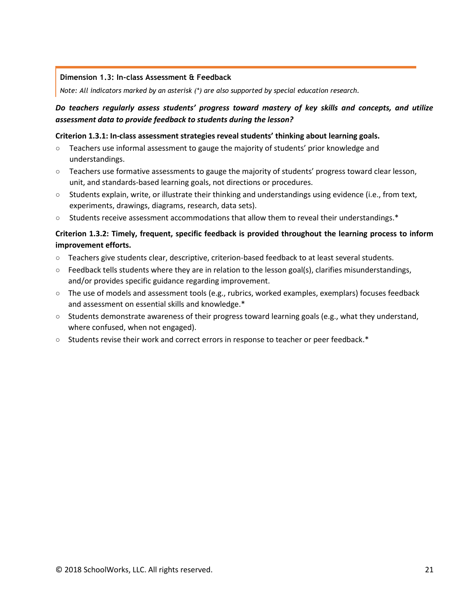#### **Dimension 1.3: In-class Assessment & Feedback**

*Note: All indicators marked by an asterisk (\*) are also supported by special education research.*

# *Do teachers regularly assess students' progress toward mastery of key skills and concepts, and utilize assessment data to provide feedback to students during the lesson?*

#### **Criterion 1.3.1: In-class assessment strategies reveal students' thinking about learning goals.**

- Teachers use informal assessment to gauge the majority of students' prior knowledge and understandings.
- Teachers use formative assessments to gauge the majority of students' progress toward clear lesson, unit, and standards-based learning goals, not directions or procedures.
- Students explain, write, or illustrate their thinking and understandings using evidence (i.e., from text, experiments, drawings, diagrams, research, data sets).
- Students receive assessment accommodations that allow them to reveal their understandings.\*

# **Criterion 1.3.2: Timely, frequent, specific feedback is provided throughout the learning process to inform improvement efforts.**

- Teachers give students clear, descriptive, criterion-based feedback to at least several students.
- $\circ$  Feedback tells students where they are in relation to the lesson goal(s), clarifies misunderstandings, and/or provides specific guidance regarding improvement.
- $\circ$  The use of models and assessment tools (e.g., rubrics, worked examples, exemplars) focuses feedback and assessment on essential skills and knowledge.\*
- Students demonstrate awareness of their progress toward learning goals (e.g., what they understand, where confused, when not engaged).
- Students revise their work and correct errors in response to teacher or peer feedback.\*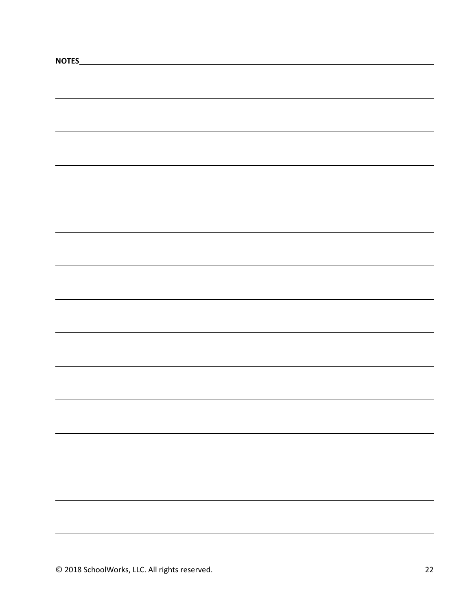| NOTES_ |  |
|--------|--|
|        |  |
|        |  |
|        |  |
|        |  |
|        |  |
|        |  |
|        |  |
|        |  |
|        |  |
|        |  |
|        |  |
|        |  |
|        |  |
|        |  |
|        |  |
|        |  |
|        |  |
|        |  |
|        |  |
|        |  |
|        |  |
|        |  |
|        |  |
|        |  |
|        |  |
|        |  |
|        |  |
|        |  |
|        |  |
|        |  |
|        |  |
|        |  |
|        |  |
|        |  |
|        |  |
|        |  |
|        |  |
|        |  |
|        |  |
|        |  |
|        |  |
|        |  |
|        |  |
|        |  |
|        |  |
|        |  |
|        |  |
|        |  |
|        |  |
|        |  |
|        |  |
|        |  |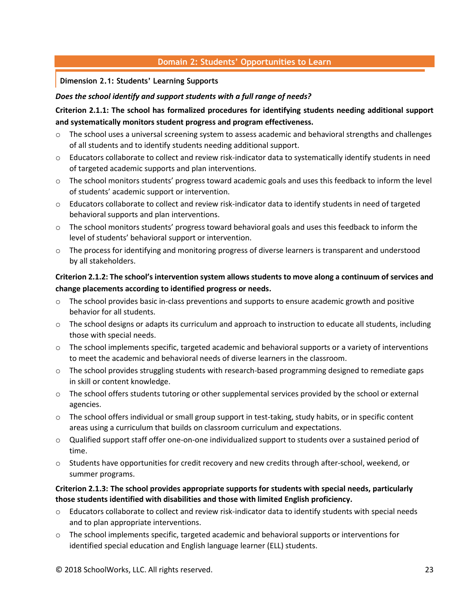# **Domain 2: Students' Opportunities to Learn**

#### **Dimension 2.1: Students' Learning Supports**

#### *Does the school identify and support students with a full range of needs?*

# **Criterion 2.1.1: The school has formalized procedures for identifying students needing additional support and systematically monitors student progress and program effectiveness.**

- $\circ$  The school uses a universal screening system to assess academic and behavioral strengths and challenges of all students and to identify students needing additional support.
- o Educators collaborate to collect and review risk-indicator data to systematically identify students in need of targeted academic supports and plan interventions.
- $\circ$  The school monitors students' progress toward academic goals and uses this feedback to inform the level of students' academic support or intervention.
- o Educators collaborate to collect and review risk-indicator data to identify students in need of targeted behavioral supports and plan interventions.
- o The school monitors students' progress toward behavioral goals and uses this feedback to inform the level of students' behavioral support or intervention.
- o The process for identifying and monitoring progress of diverse learners is transparent and understood by all stakeholders.

# **Criterion 2.1.2: The school's intervention system allows students to move along a continuum of services and change placements according to identified progress or needs.**

- o The school provides basic in-class preventions and supports to ensure academic growth and positive behavior for all students.
- o The school designs or adapts its curriculum and approach to instruction to educate all students, including those with special needs.
- o The school implements specific, targeted academic and behavioral supports or a variety of interventions to meet the academic and behavioral needs of diverse learners in the classroom.
- $\circ$  The school provides struggling students with research-based programming designed to remediate gaps in skill or content knowledge.
- o The school offers students tutoring or other supplemental services provided by the school or external agencies.
- $\circ$  The school offers individual or small group support in test-taking, study habits, or in specific content areas using a curriculum that builds on classroom curriculum and expectations.
- $\circ$  Qualified support staff offer one-on-one individualized support to students over a sustained period of time.
- $\circ$  Students have opportunities for credit recovery and new credits through after-school, weekend, or summer programs.

#### **Criterion 2.1.3: The school provides appropriate supports for students with special needs, particularly those students identified with disabilities and those with limited English proficiency.**

- o Educators collaborate to collect and review risk-indicator data to identify students with special needs and to plan appropriate interventions.
- o The school implements specific, targeted academic and behavioral supports or interventions for identified special education and English language learner (ELL) students.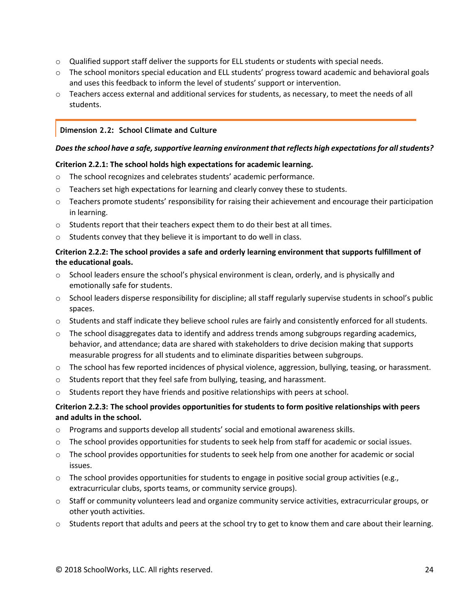- $\circ$  Qualified support staff deliver the supports for ELL students or students with special needs.
- o The school monitors special education and ELL students' progress toward academic and behavioral goals and uses this feedback to inform the level of students' support or intervention.
- o Teachers access external and additional services for students, as necessary, to meet the needs of all students.

#### **Dimension 2.2: School Climate and Culture**

#### *Does the school have a safe, supportive learning environment that reflects high expectations for all students?*

#### **Criterion 2.2.1: The school holds high expectations for academic learning.**

- $\circ$  The school recognizes and celebrates students' academic performance.
- $\circ$  Teachers set high expectations for learning and clearly convey these to students.
- $\circ$  Teachers promote students' responsibility for raising their achievement and encourage their participation in learning.
- o Students report that their teachers expect them to do their best at all times.
- o Students convey that they believe it is important to do well in class.

#### **Criterion 2.2.2: The school provides a safe and orderly learning environment that supports fulfillment of the educational goals.**

- $\circ$  School leaders ensure the school's physical environment is clean, orderly, and is physically and emotionally safe for students.
- o School leaders disperse responsibility for discipline; all staff regularly supervise students in school's public spaces.
- o Students and staff indicate they believe school rules are fairly and consistently enforced for all students.
- $\circ$  The school disaggregates data to identify and address trends among subgroups regarding academics, behavior, and attendance; data are shared with stakeholders to drive decision making that supports measurable progress for all students and to eliminate disparities between subgroups.
- o The school has few reported incidences of physical violence, aggression, bullying, teasing, or harassment.
- $\circ$  Students report that they feel safe from bullying, teasing, and harassment.
- o Students report they have friends and positive relationships with peers at school.

# **Criterion 2.2.3: The school provides opportunities for students to form positive relationships with peers and adults in the school.**

- o Programs and supports develop all students' social and emotional awareness skills.
- o The school provides opportunities for students to seek help from staff for academic or social issues.
- o The school provides opportunities for students to seek help from one another for academic or social issues.
- $\circ$  The school provides opportunities for students to engage in positive social group activities (e.g., extracurricular clubs, sports teams, or community service groups).
- o Staff or community volunteers lead and organize community service activities, extracurricular groups, or other youth activities.
- $\circ$  Students report that adults and peers at the school try to get to know them and care about their learning.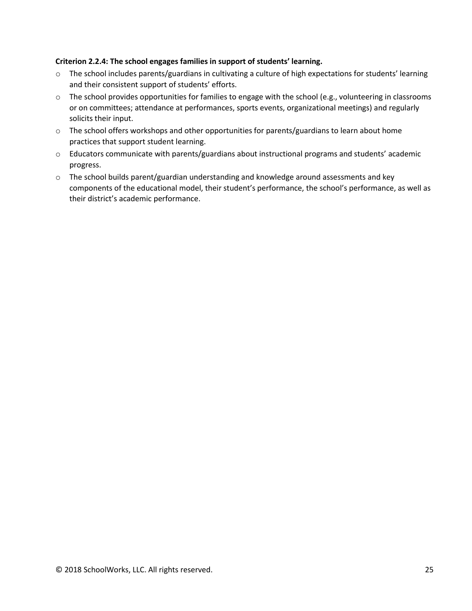### **Criterion 2.2.4: The school engages families in support of students' learning.**

- o The school includes parents/guardians in cultivating a culture of high expectations for students' learning and their consistent support of students' efforts.
- o The school provides opportunities for families to engage with the school (e.g., volunteering in classrooms or on committees; attendance at performances, sports events, organizational meetings) and regularly solicits their input.
- o The school offers workshops and other opportunities for parents/guardians to learn about home practices that support student learning.
- o Educators communicate with parents/guardians about instructional programs and students' academic progress.
- o The school builds parent/guardian understanding and knowledge around assessments and key components of the educational model, their student's performance, the school's performance, as well as their district's academic performance.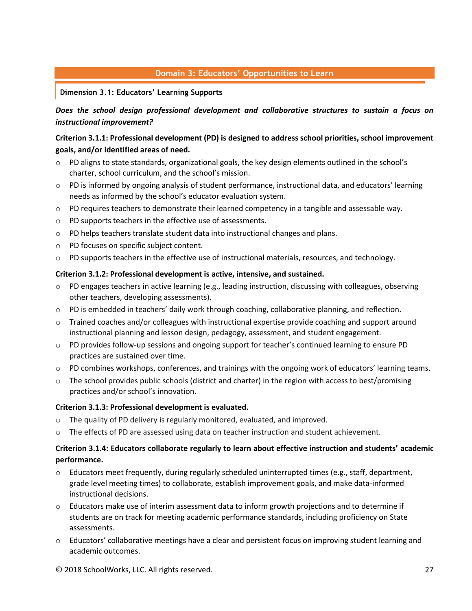# **Domain 3: Educators' Opportunities to Learn**

**Dimension 3.1: Educators' Learning Supports**

*Does the school design professional development and collaborative structures to sustain a focus on instructional improvement?*

# **Criterion 3.1.1: Professional development (PD) is designed to address school priorities, school improvement goals, and/or identified areas of need.**

- $\circ$  PD aligns to state standards, organizational goals, the key design elements outlined in the school's charter, school curriculum, and the school's mission.
- $\circ$  PD is informed by ongoing analysis of student performance, instructional data, and educators' learning needs as informed by the school's educator evaluation system.
- o PD requires teachers to demonstrate their learned competency in a tangible and assessable way.
- o PD supports teachers in the effective use of assessments.
- o PD helps teachers translate student data into instructional changes and plans.
- o PD focuses on specific subject content.
- $\circ$  PD supports teachers in the effective use of instructional materials, resources, and technology.

#### **Criterion 3.1.2: Professional development is active, intensive, and sustained.**

- o PD engages teachers in active learning (e.g., leading instruction, discussing with colleagues, observing other teachers, developing assessments).
- o PD is embedded in teachers' daily work through coaching, collaborative planning, and reflection.
- $\circ$  Trained coaches and/or colleagues with instructional expertise provide coaching and support around instructional planning and lesson design, pedagogy, assessment, and student engagement.
- o PD provides follow-up sessions and ongoing support for teacher's continued learning to ensure PD practices are sustained over time.
- o PD combines workshops, conferences, and trainings with the ongoing work of educators' learning teams.
- $\circ$  The school provides public schools (district and charter) in the region with access to best/promising practices and/or school's innovation.

#### **Criterion 3.1.3: Professional development is evaluated.**

- o The quality of PD delivery is regularly monitored, evaluated, and improved.
- o The effects of PD are assessed using data on teacher instruction and student achievement.

# **Criterion 3.1.4: Educators collaborate regularly to learn about effective instruction and students' academic performance.**

- $\circ$  Educators meet frequently, during regularly scheduled uninterrupted times (e.g., staff, department, grade level meeting times) to collaborate, establish improvement goals, and make data-informed instructional decisions.
- $\circ$  Educators make use of interim assessment data to inform growth projections and to determine if students are on track for meeting academic performance standards, including proficiency on State assessments.
- o Educators' collaborative meetings have a clear and persistent focus on improving student learning and academic outcomes.
- © 2018 SchoolWorks, LLC. All rights reserved. 27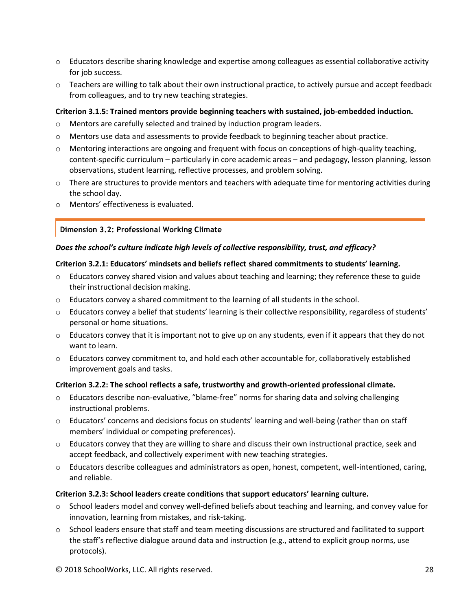- o Educators describe sharing knowledge and expertise among colleagues as essential collaborative activity for job success.
- o Teachers are willing to talk about their own instructional practice, to actively pursue and accept feedback from colleagues, and to try new teaching strategies.

#### **Criterion 3.1.5: Trained mentors provide beginning teachers with sustained, job-embedded induction.**

- o Mentors are carefully selected and trained by induction program leaders.
- o Mentors use data and assessments to provide feedback to beginning teacher about practice.
- o Mentoring interactions are ongoing and frequent with focus on conceptions of high-quality teaching, content-specific curriculum – particularly in core academic areas – and pedagogy, lesson planning, lesson observations, student learning, reflective processes, and problem solving.
- $\circ$  There are structures to provide mentors and teachers with adequate time for mentoring activities during the school day.
- o Mentors' effectiveness is evaluated.

#### **Dimension 3.2: Professional Working Climate**

#### *Does the school's culture indicate high levels of collective responsibility, trust, and efficacy?*

#### **Criterion 3.2.1: Educators' mindsets and beliefs reflect shared commitments to students' learning.**

- $\circ$  Educators convey shared vision and values about teaching and learning; they reference these to guide their instructional decision making.
- $\circ$  Educators convey a shared commitment to the learning of all students in the school.
- o Educators convey a belief that students' learning is their collective responsibility, regardless of students' personal or home situations.
- $\circ$  Educators convey that it is important not to give up on any students, even if it appears that they do not want to learn.
- o Educators convey commitment to, and hold each other accountable for, collaboratively established improvement goals and tasks.

#### **Criterion 3.2.2: The school reflects a safe, trustworthy and growth-oriented professional climate.**

- o Educators describe non-evaluative, "blame-free" norms for sharing data and solving challenging instructional problems.
- o Educators' concerns and decisions focus on students' learning and well-being (rather than on staff members' individual or competing preferences).
- $\circ$  Educators convey that they are willing to share and discuss their own instructional practice, seek and accept feedback, and collectively experiment with new teaching strategies.
- o Educators describe colleagues and administrators as open, honest, competent, well-intentioned, caring, and reliable.

#### **Criterion 3.2.3: School leaders create conditions that support educators' learning culture.**

- $\circ$  School leaders model and convey well-defined beliefs about teaching and learning, and convey value for innovation, learning from mistakes, and risk-taking.
- o School leaders ensure that staff and team meeting discussions are structured and facilitated to support the staff's reflective dialogue around data and instruction (e.g., attend to explicit group norms, use protocols).

© 2018 SchoolWorks, LLC. All rights reserved. 28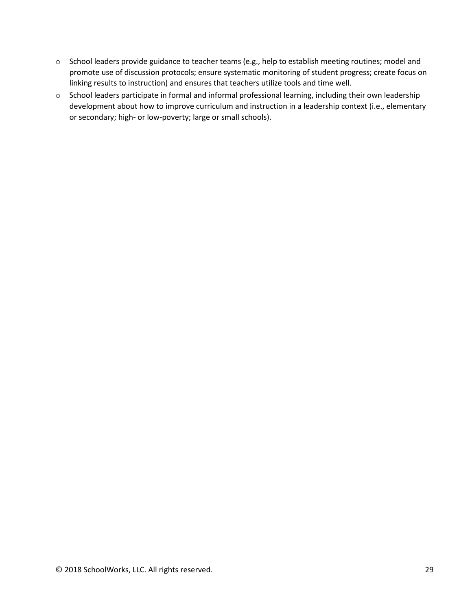- o School leaders provide guidance to teacher teams (e.g., help to establish meeting routines; model and promote use of discussion protocols; ensure systematic monitoring of student progress; create focus on linking results to instruction) and ensures that teachers utilize tools and time well.
- o School leaders participate in formal and informal professional learning, including their own leadership development about how to improve curriculum and instruction in a leadership context (i.e., elementary or secondary; high- or low-poverty; large or small schools).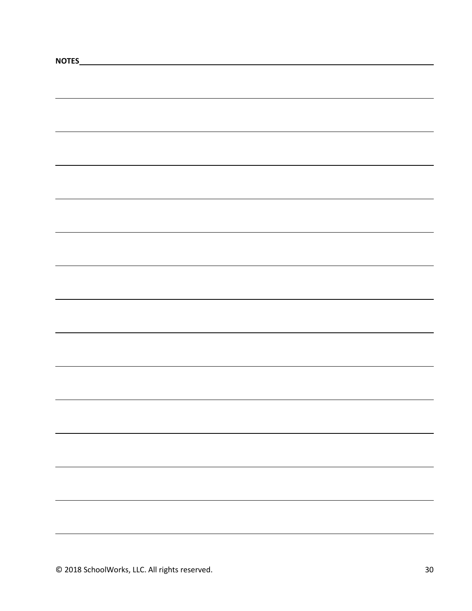| NOTES_ |  |  |
|--------|--|--|
|        |  |  |
|        |  |  |
|        |  |  |
|        |  |  |
|        |  |  |
|        |  |  |
|        |  |  |
|        |  |  |
|        |  |  |
|        |  |  |
|        |  |  |
|        |  |  |
|        |  |  |
|        |  |  |
|        |  |  |
|        |  |  |
|        |  |  |
|        |  |  |
|        |  |  |
|        |  |  |
|        |  |  |
|        |  |  |
|        |  |  |
|        |  |  |
|        |  |  |
|        |  |  |
|        |  |  |
|        |  |  |
|        |  |  |
|        |  |  |
|        |  |  |
|        |  |  |
|        |  |  |
|        |  |  |
|        |  |  |
|        |  |  |
|        |  |  |
|        |  |  |
|        |  |  |
|        |  |  |
|        |  |  |
|        |  |  |
|        |  |  |
|        |  |  |
|        |  |  |
|        |  |  |
|        |  |  |
|        |  |  |
|        |  |  |
|        |  |  |
|        |  |  |
|        |  |  |
|        |  |  |
|        |  |  |
|        |  |  |
|        |  |  |
|        |  |  |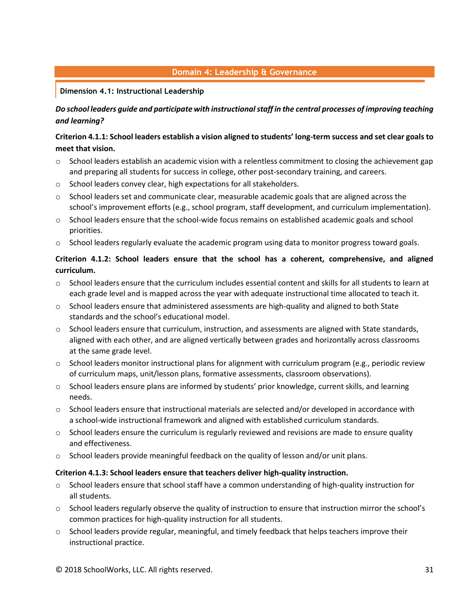# **Domain 4: Leadership & Governance**

### **Dimension 4.1: Instructional Leadership**

# *Do school leaders guide and participate with instructional staff in the central processes of improving teaching and learning?*

# **Criterion 4.1.1: School leaders establish a vision aligned to students' long-term success and set clear goals to meet that vision.**

- $\circ$  School leaders establish an academic vision with a relentless commitment to closing the achievement gap and preparing all students for success in college, other post-secondary training, and careers.
- o School leaders convey clear, high expectations for all stakeholders.
- $\circ$  School leaders set and communicate clear, measurable academic goals that are aligned across the school's improvement efforts (e.g., school program, staff development, and curriculum implementation).
- o School leaders ensure that the school-wide focus remains on established academic goals and school priorities.
- $\circ$  School leaders regularly evaluate the academic program using data to monitor progress toward goals.

# **Criterion 4.1.2: School leaders ensure that the school has a coherent, comprehensive, and aligned curriculum.**

- $\circ$  School leaders ensure that the curriculum includes essential content and skills for all students to learn at each grade level and is mapped across the year with adequate instructional time allocated to teach it.
- $\circ$  School leaders ensure that administered assessments are high-quality and aligned to both State standards and the school's educational model.
- $\circ$  School leaders ensure that curriculum, instruction, and assessments are aligned with State standards, aligned with each other, and are aligned vertically between grades and horizontally across classrooms at the same grade level.
- $\circ$  School leaders monitor instructional plans for alignment with curriculum program (e.g., periodic review of curriculum maps, unit/lesson plans, formative assessments, classroom observations).
- $\circ$  School leaders ensure plans are informed by students' prior knowledge, current skills, and learning needs.
- $\circ$  School leaders ensure that instructional materials are selected and/or developed in accordance with a school-wide instructional framework and aligned with established curriculum standards.
- $\circ$  School leaders ensure the curriculum is regularly reviewed and revisions are made to ensure quality and effectiveness.
- $\circ$  School leaders provide meaningful feedback on the quality of lesson and/or unit plans.

#### **Criterion 4.1.3: School leaders ensure that teachers deliver high-quality instruction.**

- $\circ$  School leaders ensure that school staff have a common understanding of high-quality instruction for all students.
- o School leaders regularly observe the quality of instruction to ensure that instruction mirror the school's common practices for high-quality instruction for all students.
- $\circ$  School leaders provide regular, meaningful, and timely feedback that helps teachers improve their instructional practice.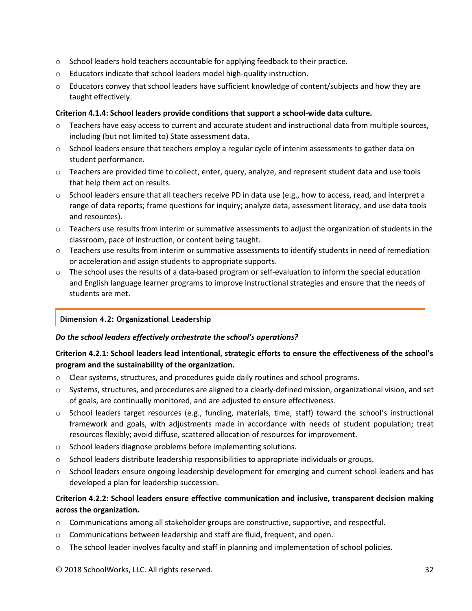- $\circ$  School leaders hold teachers accountable for applying feedback to their practice.
- o Educators indicate that school leaders model high-quality instruction.
- $\circ$  Educators convey that school leaders have sufficient knowledge of content/subjects and how they are taught effectively.

### **Criterion 4.1.4: School leaders provide conditions that support a school-wide data culture.**

- o Teachers have easy access to current and accurate student and instructional data from multiple sources, including (but not limited to) State assessment data.
- o School leaders ensure that teachers employ a regular cycle of interim assessments to gather data on student performance.
- o Teachers are provided time to collect, enter, query, analyze, and represent student data and use tools that help them act on results.
- o School leaders ensure that all teachers receive PD in data use (e.g., how to access, read, and interpret a range of data reports; frame questions for inquiry; analyze data, assessment literacy, and use data tools and resources).
- o Teachers use results from interim or summative assessments to adjust the organization of students in the classroom, pace of instruction, or content being taught.
- o Teachers use results from interim or summative assessments to identify students in need of remediation or acceleration and assign students to appropriate supports.
- $\circ$  The school uses the results of a data-based program or self-evaluation to inform the special education and English language learner programs to improve instructional strategies and ensure that the needs of students are met.

# **Dimension 4.2: Organizational Leadership**

#### *Do the school leaders effectively orchestrate the school's operations?*

# **Criterion 4.2.1: School leaders lead intentional, strategic efforts to ensure the effectiveness of the school's program and the sustainability of the organization.**

- o Clear systems, structures, and procedures guide daily routines and school programs.
- o Systems, structures, and procedures are aligned to a clearly-defined mission, organizational vision, and set of goals, are continually monitored, and are adjusted to ensure effectiveness.
- $\circ$  School leaders target resources (e.g., funding, materials, time, staff) toward the school's instructional framework and goals, with adjustments made in accordance with needs of student population; treat resources flexibly; avoid diffuse, scattered allocation of resources for improvement.
- o School leaders diagnose problems before implementing solutions.
- $\circ$  School leaders distribute leadership responsibilities to appropriate individuals or groups.
- $\circ$  School leaders ensure ongoing leadership development for emerging and current school leaders and has developed a plan for leadership succession.

# **Criterion 4.2.2: School leaders ensure effective communication and inclusive, transparent decision making across the organization.**

- $\circ$  Communications among all stakeholder groups are constructive, supportive, and respectful.
- o Communications between leadership and staff are fluid, frequent, and open.
- $\circ$  The school leader involves faculty and staff in planning and implementation of school policies.

© 2018 SchoolWorks, LLC. All rights reserved. 32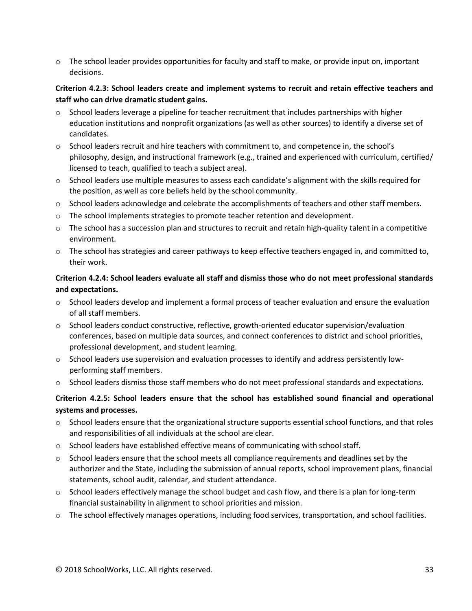o The school leader provides opportunities for faculty and staff to make, or provide input on, important decisions.

# **Criterion 4.2.3: School leaders create and implement systems to recruit and retain effective teachers and staff who can drive dramatic student gains.**

- $\circ$  School leaders leverage a pipeline for teacher recruitment that includes partnerships with higher education institutions and nonprofit organizations (as well as other sources) to identify a diverse set of candidates.
- $\circ$  School leaders recruit and hire teachers with commitment to, and competence in, the school's philosophy, design, and instructional framework (e.g., trained and experienced with curriculum, certified/ licensed to teach, qualified to teach a subject area).
- $\circ$  School leaders use multiple measures to assess each candidate's alignment with the skills required for the position, as well as core beliefs held by the school community.
- o School leaders acknowledge and celebrate the accomplishments of teachers and other staff members.
- o The school implements strategies to promote teacher retention and development.
- $\circ$  The school has a succession plan and structures to recruit and retain high-quality talent in a competitive environment.
- o The school has strategies and career pathways to keep effective teachers engaged in, and committed to, their work.

# **Criterion 4.2.4: School leaders evaluate all staff and dismiss those who do not meet professional standards and expectations.**

- $\circ$  School leaders develop and implement a formal process of teacher evaluation and ensure the evaluation of all staff members.
- $\circ$  School leaders conduct constructive, reflective, growth-oriented educator supervision/evaluation conferences, based on multiple data sources, and connect conferences to district and school priorities, professional development, and student learning.
- $\circ$  School leaders use supervision and evaluation processes to identify and address persistently lowperforming staff members.
- o School leaders dismiss those staff members who do not meet professional standards and expectations.

# **Criterion 4.2.5: School leaders ensure that the school has established sound financial and operational systems and processes.**

- o School leaders ensure that the organizational structure supports essential school functions, and that roles and responsibilities of all individuals at the school are clear.
- o School leaders have established effective means of communicating with school staff.
- $\circ$  School leaders ensure that the school meets all compliance requirements and deadlines set by the authorizer and the State, including the submission of annual reports, school improvement plans, financial statements, school audit, calendar, and student attendance.
- $\circ$  School leaders effectively manage the school budget and cash flow, and there is a plan for long-term financial sustainability in alignment to school priorities and mission.
- o The school effectively manages operations, including food services, transportation, and school facilities.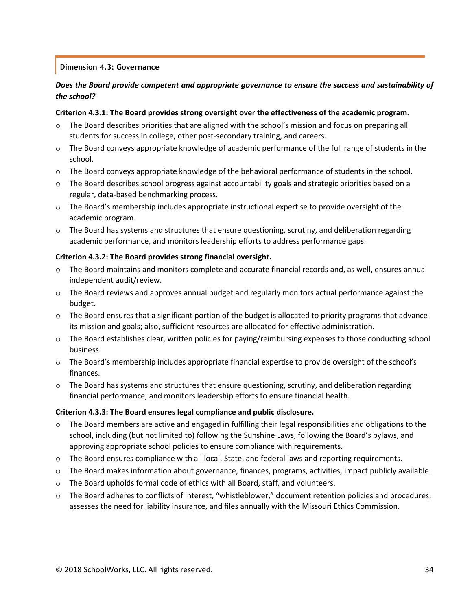#### **Dimension 4.3: Governance**

# *Does the Board provide competent and appropriate governance to ensure the success and sustainability of the school?*

#### **Criterion 4.3.1: The Board provides strong oversight over the effectiveness of the academic program.**

- $\circ$  The Board describes priorities that are aligned with the school's mission and focus on preparing all students for success in college, other post-secondary training, and careers.
- o The Board conveys appropriate knowledge of academic performance of the full range of students in the school.
- o The Board conveys appropriate knowledge of the behavioral performance of students in the school.
- $\circ$  The Board describes school progress against accountability goals and strategic priorities based on a regular, data-based benchmarking process.
- $\circ$  The Board's membership includes appropriate instructional expertise to provide oversight of the academic program.
- $\circ$  The Board has systems and structures that ensure questioning, scrutiny, and deliberation regarding academic performance, and monitors leadership efforts to address performance gaps.

#### **Criterion 4.3.2: The Board provides strong financial oversight.**

- $\circ$  The Board maintains and monitors complete and accurate financial records and, as well, ensures annual independent audit/review.
- o The Board reviews and approves annual budget and regularly monitors actual performance against the budget.
- $\circ$  The Board ensures that a significant portion of the budget is allocated to priority programs that advance its mission and goals; also, sufficient resources are allocated for effective administration.
- o The Board establishes clear, written policies for paying/reimbursing expenses to those conducting school business.
- $\circ$  The Board's membership includes appropriate financial expertise to provide oversight of the school's finances.
- o The Board has systems and structures that ensure questioning, scrutiny, and deliberation regarding financial performance, and monitors leadership efforts to ensure financial health.

#### **Criterion 4.3.3: The Board ensures legal compliance and public disclosure.**

- $\circ$  The Board members are active and engaged in fulfilling their legal responsibilities and obligations to the school, including (but not limited to) following the Sunshine Laws, following the Board's bylaws, and approving appropriate school policies to ensure compliance with requirements.
- o The Board ensures compliance with all local, State, and federal laws and reporting requirements.
- o The Board makes information about governance, finances, programs, activities, impact publicly available.
- o The Board upholds formal code of ethics with all Board, staff, and volunteers.
- o The Board adheres to conflicts of interest, "whistleblower," document retention policies and procedures, assesses the need for liability insurance, and files annually with the Missouri Ethics Commission.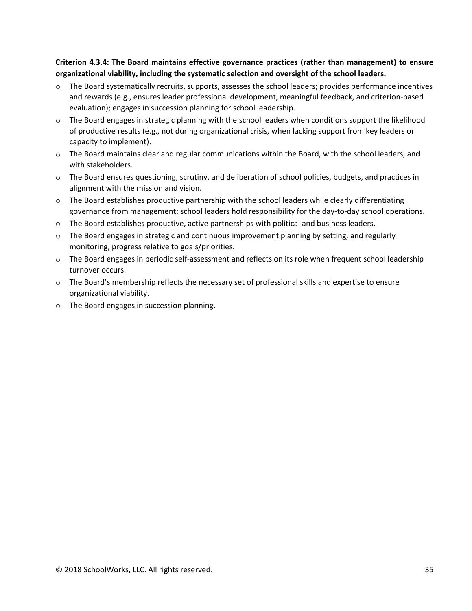**Criterion 4.3.4: The Board maintains effective governance practices (rather than management) to ensure organizational viability, including the systematic selection and oversight of the school leaders.** 

- $\circ$  The Board systematically recruits, supports, assesses the school leaders; provides performance incentives and rewards (e.g., ensures leader professional development, meaningful feedback, and criterion-based evaluation); engages in succession planning for school leadership.
- $\circ$  The Board engages in strategic planning with the school leaders when conditions support the likelihood of productive results (e.g., not during organizational crisis, when lacking support from key leaders or capacity to implement).
- o The Board maintains clear and regular communications within the Board, with the school leaders, and with stakeholders.
- o The Board ensures questioning, scrutiny, and deliberation of school policies, budgets, and practices in alignment with the mission and vision.
- $\circ$  The Board establishes productive partnership with the school leaders while clearly differentiating governance from management; school leaders hold responsibility for the day-to-day school operations.
- $\circ$  The Board establishes productive, active partnerships with political and business leaders.
- $\circ$  The Board engages in strategic and continuous improvement planning by setting, and regularly monitoring, progress relative to goals/priorities.
- o The Board engages in periodic self-assessment and reflects on its role when frequent school leadership turnover occurs.
- o The Board's membership reflects the necessary set of professional skills and expertise to ensure organizational viability.
- o The Board engages in succession planning.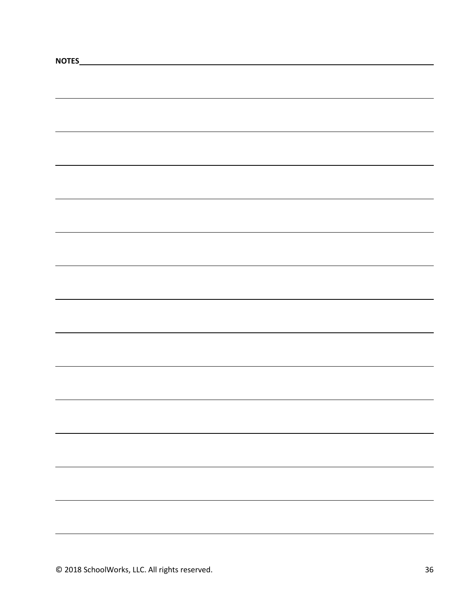| NOTES_ |  |  |
|--------|--|--|
|        |  |  |
|        |  |  |
|        |  |  |
|        |  |  |
|        |  |  |
|        |  |  |
|        |  |  |
|        |  |  |
|        |  |  |
|        |  |  |
|        |  |  |
|        |  |  |
|        |  |  |
|        |  |  |
|        |  |  |
|        |  |  |
|        |  |  |
|        |  |  |
|        |  |  |
|        |  |  |
|        |  |  |
|        |  |  |
|        |  |  |
|        |  |  |
|        |  |  |
|        |  |  |
|        |  |  |
|        |  |  |
|        |  |  |
|        |  |  |
|        |  |  |
|        |  |  |
|        |  |  |
|        |  |  |
|        |  |  |
|        |  |  |
|        |  |  |
|        |  |  |
|        |  |  |
|        |  |  |
|        |  |  |
|        |  |  |
|        |  |  |
|        |  |  |
|        |  |  |
|        |  |  |
|        |  |  |
|        |  |  |
|        |  |  |
|        |  |  |
|        |  |  |
|        |  |  |
|        |  |  |
|        |  |  |
|        |  |  |
|        |  |  |
|        |  |  |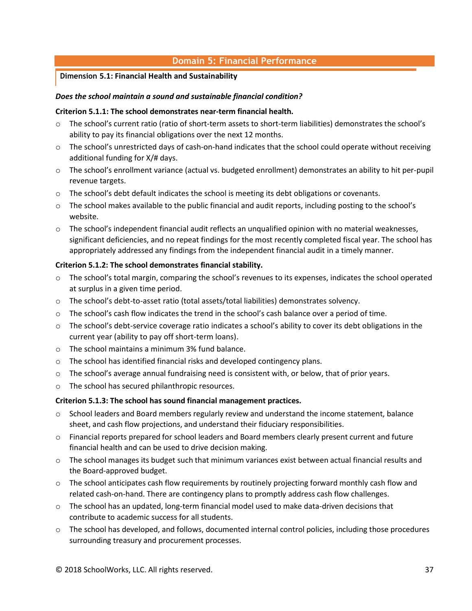# **Domain 5: Financial Performance**

#### **Dimension 5.1: Financial Health and Sustainability**

#### *Does the school maintain a sound and sustainable financial condition?*

#### **Criterion 5.1.1: The school demonstrates near-term financial health.**

- The school's current ratio (ratio of short-term assets to short-term liabilities) demonstrates the school's ability to pay its financial obligations over the next 12 months.
- o The school's unrestricted days of cash-on-hand indicates that the school could operate without receiving additional funding for X/# days.
- o The school's enrollment variance (actual vs. budgeted enrollment) demonstrates an ability to hit per-pupil revenue targets.
- o The school's debt default indicates the school is meeting its debt obligations or covenants.
- $\circ$  The school makes available to the public financial and audit reports, including posting to the school's website.
- o The school's independent financial audit reflects an unqualified opinion with no material weaknesses, significant deficiencies, and no repeat findings for the most recently completed fiscal year. The school has appropriately addressed any findings from the independent financial audit in a timely manner.

#### **Criterion 5.1.2: The school demonstrates financial stability.**

- o The school's total margin, comparing the school's revenues to its expenses, indicates the school operated at surplus in a given time period.
- o The school's debt-to-asset ratio (total assets/total liabilities) demonstrates solvency.
- $\circ$  The school's cash flow indicates the trend in the school's cash balance over a period of time.
- o The school's debt-service coverage ratio indicates a school's ability to cover its debt obligations in the current year (ability to pay off short-term loans).
- o The school maintains a minimum 3% fund balance.
- o The school has identified financial risks and developed contingency plans.
- o The school's average annual fundraising need is consistent with, or below, that of prior years.
- o The school has secured philanthropic resources.

#### **Criterion 5.1.3: The school has sound financial management practices.**

- $\circ$  School leaders and Board members regularly review and understand the income statement, balance sheet, and cash flow projections, and understand their fiduciary responsibilities.
- o Financial reports prepared for school leaders and Board members clearly present current and future financial health and can be used to drive decision making.
- $\circ$  The school manages its budget such that minimum variances exist between actual financial results and the Board-approved budget.
- o The school anticipates cash flow requirements by routinely projecting forward monthly cash flow and related cash-on-hand. There are contingency plans to promptly address cash flow challenges.
- $\circ$  The school has an updated, long-term financial model used to make data-driven decisions that contribute to academic success for all students.
- o The school has developed, and follows, documented internal control policies, including those procedures surrounding treasury and procurement processes.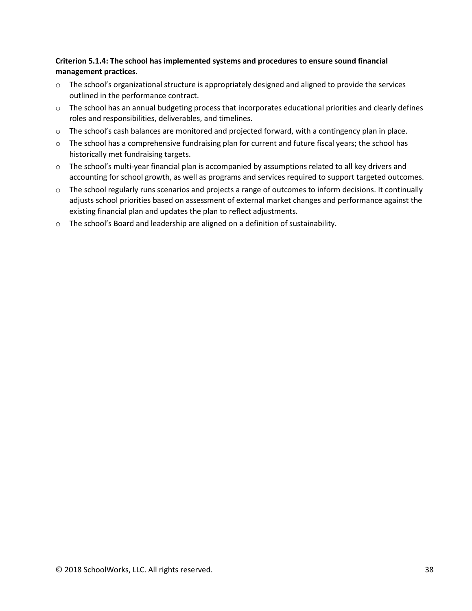# **Criterion 5.1.4: The school has implemented systems and procedures to ensure sound financial management practices.**

- o The school's organizational structure is appropriately designed and aligned to provide the services outlined in the performance contract.
- $\circ$  The school has an annual budgeting process that incorporates educational priorities and clearly defines roles and responsibilities, deliverables, and timelines.
- o The school's cash balances are monitored and projected forward, with a contingency plan in place.
- $\circ$  The school has a comprehensive fundraising plan for current and future fiscal years; the school has historically met fundraising targets.
- $\circ$  The school's multi-year financial plan is accompanied by assumptions related to all key drivers and accounting for school growth, as well as programs and services required to support targeted outcomes.
- $\circ$  The school regularly runs scenarios and projects a range of outcomes to inform decisions. It continually adjusts school priorities based on assessment of external market changes and performance against the existing financial plan and updates the plan to reflect adjustments.
- o The school's Board and leadership are aligned on a definition of sustainability.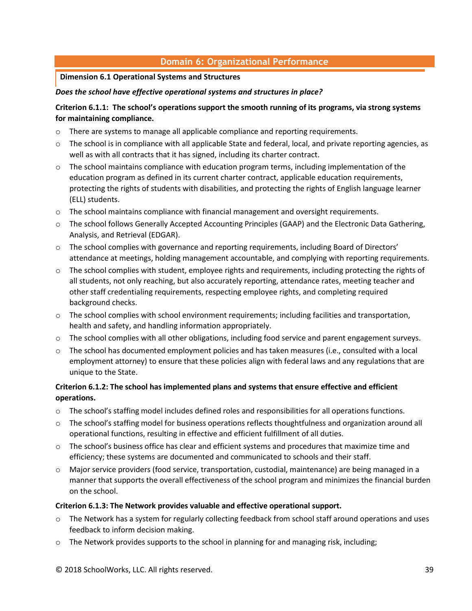# **Domain 6: Organizational Performance**

#### **Dimension 6.1 Operational Systems and Structures**

### *Does the school have effective operational systems and structures in place?*

# **Criterion 6.1.1: The school's operations support the smooth running of its programs, via strong systems for maintaining compliance.**

- $\circ$  There are systems to manage all applicable compliance and reporting requirements.
- o The school is in compliance with all applicable State and federal, local, and private reporting agencies, as well as with all contracts that it has signed, including its charter contract.
- $\circ$  The school maintains compliance with education program terms, including implementation of the education program as defined in its current charter contract, applicable education requirements, protecting the rights of students with disabilities, and protecting the rights of English language learner (ELL) students.
- o The school maintains compliance with financial management and oversight requirements.
- o The school follows Generally Accepted Accounting Principles (GAAP) and the Electronic Data Gathering, Analysis, and Retrieval (EDGAR).
- $\circ$  The school complies with governance and reporting requirements, including Board of Directors' attendance at meetings, holding management accountable, and complying with reporting requirements.
- $\circ$  The school complies with student, employee rights and requirements, including protecting the rights of all students, not only reaching, but also accurately reporting, attendance rates, meeting teacher and other staff credentialing requirements, respecting employee rights, and completing required background checks.
- $\circ$  The school complies with school environment requirements; including facilities and transportation, health and safety, and handling information appropriately.
- o The school complies with all other obligations, including food service and parent engagement surveys.
- $\circ$  The school has documented employment policies and has taken measures (i.e., consulted with a local employment attorney) to ensure that these policies align with federal laws and any regulations that are unique to the State.

# **Criterion 6.1.2: The school has implemented plans and systems that ensure effective and efficient operations.**

- o The school's staffing model includes defined roles and responsibilities for all operations functions.
- $\circ$  The school's staffing model for business operations reflects thoughtfulness and organization around all operational functions, resulting in effective and efficient fulfillment of all duties.
- o The school's business office has clear and efficient systems and procedures that maximize time and efficiency; these systems are documented and communicated to schools and their staff.
- o Major service providers (food service, transportation, custodial, maintenance) are being managed in a manner that supports the overall effectiveness of the school program and minimizes the financial burden on the school.

# **Criterion 6.1.3: The Network provides valuable and effective operational support.**

- $\circ$  The Network has a system for regularly collecting feedback from school staff around operations and uses feedback to inform decision making.
- $\circ$  The Network provides supports to the school in planning for and managing risk, including;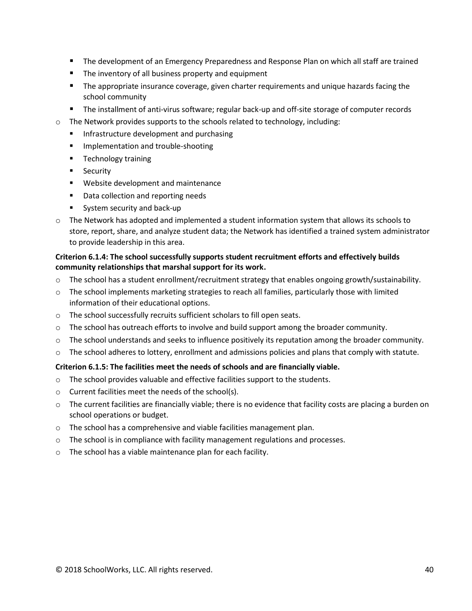- The development of an Emergency Preparedness and Response Plan on which all staff are trained
- The inventory of all business property and equipment
- **■** The appropriate insurance coverage, given charter requirements and unique hazards facing the school community
- The installment of anti-virus software; regular back-up and off-site storage of computer records
- $\circ$  The Network provides supports to the schools related to technology, including:
	- Infrastructure development and purchasing
	- Implementation and trouble-shooting
	- Technology training
	- Security
	- Website development and maintenance
	- Data collection and reporting needs
	- System security and back-up
- o The Network has adopted and implemented a student information system that allows its schools to store, report, share, and analyze student data; the Network has identified a trained system administrator to provide leadership in this area.

### **Criterion 6.1.4: The school successfully supports student recruitment efforts and effectively builds community relationships that marshal support for its work.**

- o The school has a student enrollment/recruitment strategy that enables ongoing growth/sustainability.
- o The school implements marketing strategies to reach all families, particularly those with limited information of their educational options.
- o The school successfully recruits sufficient scholars to fill open seats.
- $\circ$  The school has outreach efforts to involve and build support among the broader community.
- o The school understands and seeks to influence positively its reputation among the broader community.
- o The school adheres to lottery, enrollment and admissions policies and plans that comply with statute.

#### **Criterion 6.1.5: The facilities meet the needs of schools and are financially viable.**

- $\circ$  The school provides valuable and effective facilities support to the students.
- o Current facilities meet the needs of the school(s).
- $\circ$  The current facilities are financially viable; there is no evidence that facility costs are placing a burden on school operations or budget.
- o The school has a comprehensive and viable facilities management plan.
- $\circ$  The school is in compliance with facility management regulations and processes.
- o The school has a viable maintenance plan for each facility.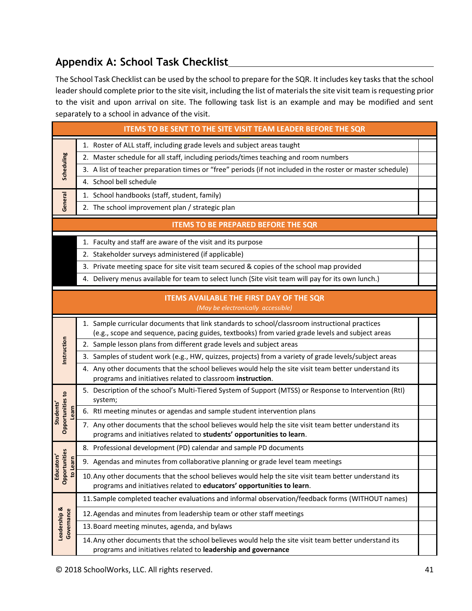# **Appendix A: School Task Checklist**

The School Task Checklist can be used by the school to prepare for the SQR. It includes key tasks that the school leader should complete prior to the site visit, including the list of materials the site visit team is requesting prior to the visit and upon arrival on site. The following task list is an example and may be modified and sent separately to a school in advance of the visit.

|                                                            | <b>ITEMS TO BE SENT TO THE SITE VISIT TEAM LEADER BEFORE THE SQR</b>                                                                                                                              |  |
|------------------------------------------------------------|---------------------------------------------------------------------------------------------------------------------------------------------------------------------------------------------------|--|
|                                                            | 1. Roster of ALL staff, including grade levels and subject areas taught                                                                                                                           |  |
|                                                            | 2. Master schedule for all staff, including periods/times teaching and room numbers                                                                                                               |  |
| Scheduling                                                 | 3. A list of teacher preparation times or "free" periods (if not included in the roster or master schedule)                                                                                       |  |
|                                                            | 4. School bell schedule                                                                                                                                                                           |  |
|                                                            | 1. School handbooks (staff, student, family)                                                                                                                                                      |  |
| General<br>2. The school improvement plan / strategic plan |                                                                                                                                                                                                   |  |
|                                                            | <b>ITEMS TO BE PREPARED BEFORE THE SQR</b>                                                                                                                                                        |  |
|                                                            | 1. Faculty and staff are aware of the visit and its purpose                                                                                                                                       |  |
|                                                            | 2. Stakeholder surveys administered (if applicable)                                                                                                                                               |  |
|                                                            | 3. Private meeting space for site visit team secured & copies of the school map provided                                                                                                          |  |
|                                                            | 4. Delivery menus available for team to select lunch (Site visit team will pay for its own lunch.)                                                                                                |  |
|                                                            | <b>ITEMS AVAILABLE THE FIRST DAY OF THE SQR</b><br>(May be electronically accessible)                                                                                                             |  |
|                                                            |                                                                                                                                                                                                   |  |
|                                                            | 1. Sample curricular documents that link standards to school/classroom instructional practices<br>(e.g., scope and sequence, pacing guides, textbooks) from varied grade levels and subject areas |  |
|                                                            | 2. Sample lesson plans from different grade levels and subject areas                                                                                                                              |  |
| Instruction                                                | 3. Samples of student work (e.g., HW, quizzes, projects) from a variety of grade levels/subject areas                                                                                             |  |
|                                                            | 4. Any other documents that the school believes would help the site visit team better understand its<br>programs and initiatives related to classroom instruction.                                |  |
|                                                            | 5. Description of the school's Multi-Tiered System of Support (MTSS) or Response to Intervention (RtI)<br>system;                                                                                 |  |
| <b>Students'</b><br>Learn                                  | 6. Rtl meeting minutes or agendas and sample student intervention plans                                                                                                                           |  |
| Opportunities to                                           | 7. Any other documents that the school believes would help the site visit team better understand its<br>programs and initiatives related to students' opportunities to learn.                     |  |
|                                                            | 8. Professional development (PD) calendar and sample PD documents                                                                                                                                 |  |
| tunities<br>to Learn                                       | 9. Agendas and minutes from collaborative planning or grade level team meetings                                                                                                                   |  |
| Educators'<br>Opportunitie                                 | 10. Any other documents that the school believes would help the site visit team better understand its<br>programs and initiatives related to educators' opportunities to learn.                   |  |
|                                                            | 11. Sample completed teacher evaluations and informal observation/feedback forms (WITHOUT names)                                                                                                  |  |
|                                                            | 12. Agendas and minutes from leadership team or other staff meetings                                                                                                                              |  |
| Leadership &<br>Governance                                 | 13. Board meeting minutes, agenda, and bylaws                                                                                                                                                     |  |
|                                                            | 14. Any other documents that the school believes would help the site visit team better understand its<br>programs and initiatives related to leadership and governance                            |  |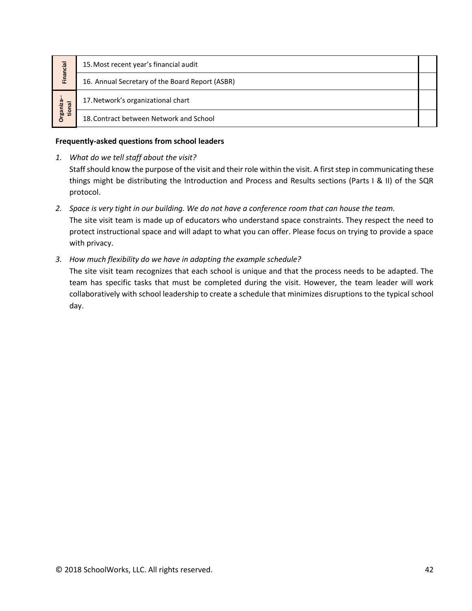|                                                            | 15. Most recent year's financial audit<br>Financial<br>16. Annual Secretary of the Board Report (ASBR)                                                                                                                                                                                                                                                                                                         |  |  |
|------------------------------------------------------------|----------------------------------------------------------------------------------------------------------------------------------------------------------------------------------------------------------------------------------------------------------------------------------------------------------------------------------------------------------------------------------------------------------------|--|--|
|                                                            |                                                                                                                                                                                                                                                                                                                                                                                                                |  |  |
| Organiza--<br>17. Network's organizational chart<br>tional |                                                                                                                                                                                                                                                                                                                                                                                                                |  |  |
|                                                            | 18. Contract between Network and School                                                                                                                                                                                                                                                                                                                                                                        |  |  |
|                                                            | Frequently-asked questions from school leaders                                                                                                                                                                                                                                                                                                                                                                 |  |  |
| 1.                                                         | What do we tell staff about the visit?<br>Staff should know the purpose of the visit and their role within the visit. A first step in communicating these<br>things might be distributing the Introduction and Process and Results sections (Parts I & II) of the SQR<br>protocol.                                                                                                                             |  |  |
|                                                            | 2. Space is very tight in our building. We do not have a conference room that can house the team.<br>The site visit team is made up of educators who understand space constraints. They respect the need to<br>protect instructional space and will adapt to what you can offer. Please focus on trying to provide a space<br>with privacy.                                                                    |  |  |
|                                                            | 3. How much flexibility do we have in adapting the example schedule?<br>The site visit team recognizes that each school is unique and that the process needs to be adapted. The<br>team has specific tasks that must be completed during the visit. However, the team leader will work<br>collaboratively with school leadership to create a schedule that minimizes disruptions to the typical school<br>day. |  |  |
|                                                            |                                                                                                                                                                                                                                                                                                                                                                                                                |  |  |
| © 2018 SchoolWorks, LLC. All rights reserved.<br>42        |                                                                                                                                                                                                                                                                                                                                                                                                                |  |  |

#### **Frequently-asked questions from school leaders**

- *1. What do we tell staff about the visit?* Staff should know the purpose of the visit and their role within the visit. A first step in communicating these things might be distributing the Introduction and Process and Results sections (Parts I & II) of the SQR protocol.
- *2. Space is very tight in our building. We do not have a conference room that can house the team.*  The site visit team is made up of educators who understand space constraints. They respect the need to protect instructional space and will adapt to what you can offer. Please focus on trying to provide a space with privacy.
- *3. How much flexibility do we have in adapting the example schedule?*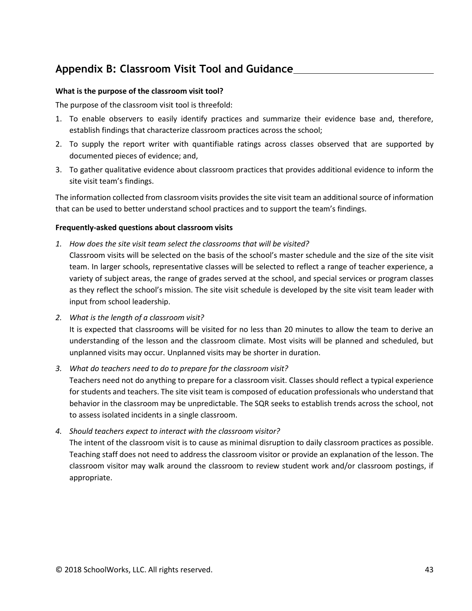# **Appendix B: Classroom Visit Tool and Guidance**

#### **What is the purpose of the classroom visit tool?**

The purpose of the classroom visit tool is threefold:

- 1. To enable observers to easily identify practices and summarize their evidence base and, therefore, establish findings that characterize classroom practices across the school;
- 2. To supply the report writer with quantifiable ratings across classes observed that are supported by documented pieces of evidence; and,
- 3. To gather qualitative evidence about classroom practices that provides additional evidence to inform the site visit team's findings.

The information collected from classroom visits provides the site visit team an additional source of information that can be used to better understand school practices and to support the team's findings.

#### **Frequently-asked questions about classroom visits**

*1. How does the site visit team select the classrooms that will be visited?* 

Classroom visits will be selected on the basis of the school's master schedule and the size of the site visit team. In larger schools, representative classes will be selected to reflect a range of teacher experience, a variety of subject areas, the range of grades served at the school, and special services or program classes as they reflect the school's mission. The site visit schedule is developed by the site visit team leader with input from school leadership.

*2. What is the length of a classroom visit?* 

It is expected that classrooms will be visited for no less than 20 minutes to allow the team to derive an understanding of the lesson and the classroom climate. Most visits will be planned and scheduled, but unplanned visits may occur. Unplanned visits may be shorter in duration.

*3. What do teachers need to do to prepare for the classroom visit?* 

Teachers need not do anything to prepare for a classroom visit. Classes should reflect a typical experience for students and teachers. The site visit team is composed of education professionals who understand that behavior in the classroom may be unpredictable. The SQR seeks to establish trends across the school, not to assess isolated incidents in a single classroom.

*4. Should teachers expect to interact with the classroom visitor?* 

The intent of the classroom visit is to cause as minimal disruption to daily classroom practices as possible. Teaching staff does not need to address the classroom visitor or provide an explanation of the lesson. The classroom visitor may walk around the classroom to review student work and/or classroom postings, if appropriate.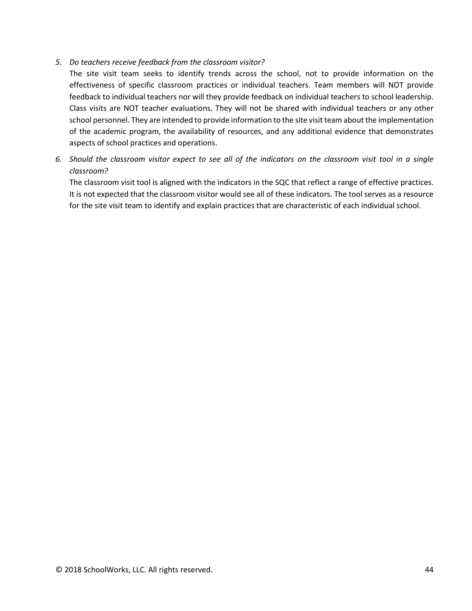### *5. Do teachers receive feedback from the classroom visitor?*

The site visit team seeks to identify trends across the school, not to provide information on the effectiveness of specific classroom practices or individual teachers. Team members will NOT provide feedback to individual teachers nor will they provide feedback on individual teachers to school leadership. Class visits are NOT teacher evaluations. They will not be shared with individual teachers or any other school personnel. They are intended to provide information to the site visit team about the implementation of the academic program, the availability of resources, and any additional evidence that demonstrates aspects of school practices and operations.

*6. Should the classroom visitor expect to see all of the indicators on the classroom visit tool in a single classroom?* 

The classroom visit tool is aligned with the indicators in the SQC that reflect a range of effective practices. It is not expected that the classroom visitor would see all of these indicators. The tool serves as a resource for the site visit team to identify and explain practices that are characteristic of each individual school.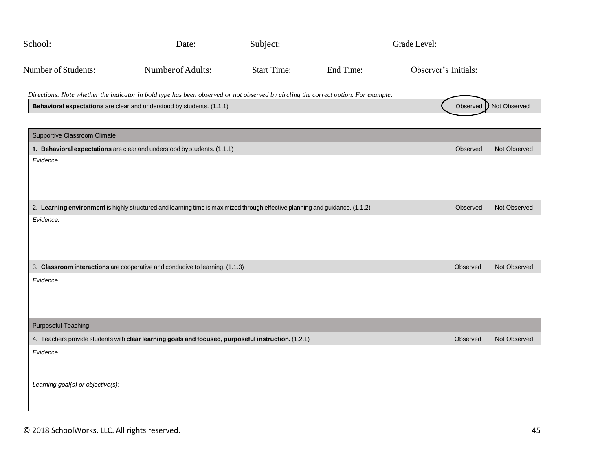|                                   | School: Charles Charles Charles Charles Charles Charles Charles Charles Charles Charles Charles Charles Charles Charles Charles Charles Charles Charles Charles Charles Charles Charles Charles Charles Charles Charles Charle |  |          |                         |
|-----------------------------------|--------------------------------------------------------------------------------------------------------------------------------------------------------------------------------------------------------------------------------|--|----------|-------------------------|
|                                   | Number of Students: Number of Adults: Start Time: End Time: Observer's Initials:                                                                                                                                               |  |          |                         |
|                                   | Directions: Note whether the indicator in bold type has been observed or not observed by circling the correct option. For example:                                                                                             |  |          |                         |
|                                   | Behavioral expectations are clear and understood by students. (1.1.1)                                                                                                                                                          |  |          | Observed   Not Observed |
| Supportive Classroom Climate      |                                                                                                                                                                                                                                |  |          |                         |
|                                   | 1. Behavioral expectations are clear and understood by students. (1.1.1)                                                                                                                                                       |  | Observed | Not Observed            |
| Evidence:                         |                                                                                                                                                                                                                                |  |          |                         |
|                                   |                                                                                                                                                                                                                                |  |          |                         |
|                                   |                                                                                                                                                                                                                                |  |          |                         |
|                                   | 2. Learning environment is highly structured and learning time is maximized through effective planning and guidance. (1.1.2)                                                                                                   |  | Observed | Not Observed            |
| Evidence:                         |                                                                                                                                                                                                                                |  |          |                         |
|                                   |                                                                                                                                                                                                                                |  |          |                         |
|                                   |                                                                                                                                                                                                                                |  |          |                         |
|                                   | 3. Classroom interactions are cooperative and conducive to learning. (1.1.3)                                                                                                                                                   |  | Observed | Not Observed            |
| Evidence:                         |                                                                                                                                                                                                                                |  |          |                         |
|                                   |                                                                                                                                                                                                                                |  |          |                         |
|                                   |                                                                                                                                                                                                                                |  |          |                         |
| <b>Purposeful Teaching</b>        |                                                                                                                                                                                                                                |  |          |                         |
|                                   | 4. Teachers provide students with clear learning goals and focused, purposeful instruction. (1.2.1)                                                                                                                            |  | Observed | Not Observed            |
| Evidence:                         |                                                                                                                                                                                                                                |  |          |                         |
|                                   |                                                                                                                                                                                                                                |  |          |                         |
| Learning goal(s) or objective(s): |                                                                                                                                                                                                                                |  |          |                         |
|                                   |                                                                                                                                                                                                                                |  |          |                         |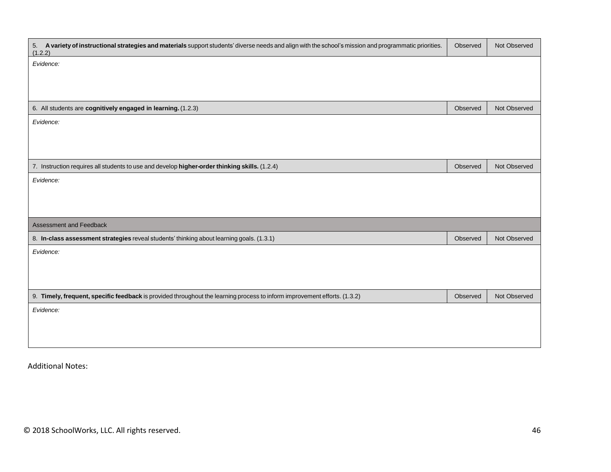| 5. A variety of instructional strategies and materials support students' diverse needs and align with the school's mission and programmatic priorities.<br>(1.2.2) | Observed | Not Observed |
|--------------------------------------------------------------------------------------------------------------------------------------------------------------------|----------|--------------|
| Evidence:                                                                                                                                                          |          |              |
|                                                                                                                                                                    |          |              |
|                                                                                                                                                                    |          |              |
| 6. All students are cognitively engaged in learning. (1.2.3)                                                                                                       | Observed | Not Observed |
| Evidence:                                                                                                                                                          |          |              |
|                                                                                                                                                                    |          |              |
|                                                                                                                                                                    |          |              |
| 7. Instruction requires all students to use and develop higher-order thinking skills. (1.2.4)                                                                      | Observed | Not Observed |
| Evidence:                                                                                                                                                          |          |              |
|                                                                                                                                                                    |          |              |
|                                                                                                                                                                    |          |              |
| Assessment and Feedback                                                                                                                                            |          |              |
| 8. In-class assessment strategies reveal students' thinking about learning goals. (1.3.1)                                                                          | Observed | Not Observed |
| Evidence:                                                                                                                                                          |          |              |
|                                                                                                                                                                    |          |              |
|                                                                                                                                                                    |          |              |
| 9. Timely, frequent, specific feedback is provided throughout the learning process to inform improvement efforts. (1.3.2)                                          | Observed | Not Observed |
| Evidence:                                                                                                                                                          |          |              |
|                                                                                                                                                                    |          |              |
|                                                                                                                                                                    |          |              |
|                                                                                                                                                                    |          |              |

Additional Notes: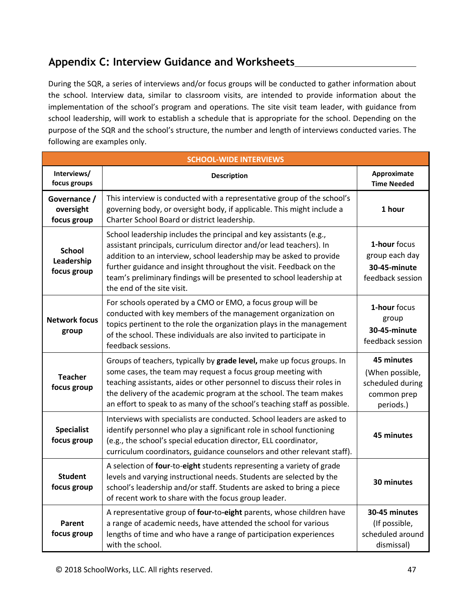# **Appendix C: Interview Guidance and Worksheets**

During the SQR, a series of interviews and/or focus groups will be conducted to gather information about the school. Interview data, similar to classroom visits, are intended to provide information about the implementation of the school's program and operations. The site visit team leader, with guidance from school leadership, will work to establish a schedule that is appropriate for the school. Depending on the purpose of the SQR and the school's structure, the number and length of interviews conducted varies. The following are examples only.

| <b>SCHOOL-WIDE INTERVIEWS</b>              |                                                                                                                                                                                                                                                                                                                                                                                               |                                                                               |  |  |
|--------------------------------------------|-----------------------------------------------------------------------------------------------------------------------------------------------------------------------------------------------------------------------------------------------------------------------------------------------------------------------------------------------------------------------------------------------|-------------------------------------------------------------------------------|--|--|
| Interviews/<br>focus groups                | <b>Description</b>                                                                                                                                                                                                                                                                                                                                                                            | Approximate<br><b>Time Needed</b>                                             |  |  |
| Governance /<br>oversight<br>focus group   | This interview is conducted with a representative group of the school's<br>governing body, or oversight body, if applicable. This might include a<br>Charter School Board or district leadership.                                                                                                                                                                                             | 1 hour                                                                        |  |  |
| <b>School</b><br>Leadership<br>focus group | School leadership includes the principal and key assistants (e.g.,<br>assistant principals, curriculum director and/or lead teachers). In<br>addition to an interview, school leadership may be asked to provide<br>further guidance and insight throughout the visit. Feedback on the<br>team's preliminary findings will be presented to school leadership at<br>the end of the site visit. |                                                                               |  |  |
| <b>Network focus</b><br>group              | For schools operated by a CMO or EMO, a focus group will be<br>conducted with key members of the management organization on<br>topics pertinent to the role the organization plays in the management<br>of the school. These individuals are also invited to participate in<br>feedback sessions.                                                                                             |                                                                               |  |  |
| <b>Teacher</b><br>focus group              | Groups of teachers, typically by grade level, make up focus groups. In<br>some cases, the team may request a focus group meeting with<br>teaching assistants, aides or other personnel to discuss their roles in<br>the delivery of the academic program at the school. The team makes<br>an effort to speak to as many of the school's teaching staff as possible.                           | 45 minutes<br>(When possible,<br>scheduled during<br>common prep<br>periods.) |  |  |
| <b>Specialist</b><br>focus group           | Interviews with specialists are conducted. School leaders are asked to<br>identify personnel who play a significant role in school functioning<br>(e.g., the school's special education director, ELL coordinator,<br>curriculum coordinators, guidance counselors and other relevant staff).                                                                                                 | 45 minutes                                                                    |  |  |
| <b>Student</b><br>focus group              | A selection of four-to-eight students representing a variety of grade<br>levels and varying instructional needs. Students are selected by the<br>school's leadership and/or staff. Students are asked to bring a piece<br>of recent work to share with the focus group leader.                                                                                                                | 30 minutes                                                                    |  |  |
| Parent<br>focus group                      | A representative group of four-to-eight parents, whose children have<br>a range of academic needs, have attended the school for various<br>lengths of time and who have a range of participation experiences<br>with the school.                                                                                                                                                              | 30-45 minutes<br>(If possible,<br>scheduled around<br>dismissal)              |  |  |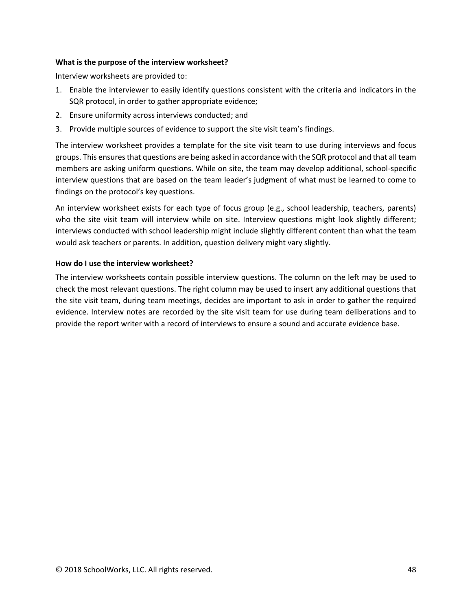#### **What is the purpose of the interview worksheet?**

Interview worksheets are provided to:

- 1. Enable the interviewer to easily identify questions consistent with the criteria and indicators in the SQR protocol, in order to gather appropriate evidence;
- 2. Ensure uniformity across interviews conducted; and
- 3. Provide multiple sources of evidence to support the site visit team's findings.

The interview worksheet provides a template for the site visit team to use during interviews and focus groups. This ensures that questions are being asked in accordance with the SQR protocol and that all team members are asking uniform questions. While on site, the team may develop additional, school-specific interview questions that are based on the team leader's judgment of what must be learned to come to findings on the protocol's key questions.

An interview worksheet exists for each type of focus group (e.g., school leadership, teachers, parents) who the site visit team will interview while on site. Interview questions might look slightly different; interviews conducted with school leadership might include slightly different content than what the team would ask teachers or parents. In addition, question delivery might vary slightly.

#### **How do I use the interview worksheet?**

The interview worksheets contain possible interview questions. The column on the left may be used to check the most relevant questions. The right column may be used to insert any additional questions that the site visit team, during team meetings, decides are important to ask in order to gather the required evidence. Interview notes are recorded by the site visit team for use during team deliberations and to provide the report writer with a record of interviews to ensure a sound and accurate evidence base.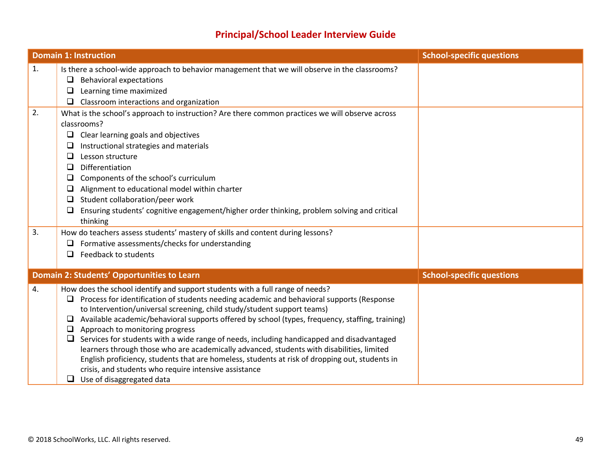# **Principal/School Leader Interview Guide**

|          | <b>Domain 1: Instruction</b>                                                                                                                                                                                                                                                                                                                                                                                                                                                                                                                                                                                                                                                                                                                                                                                     | <b>School-specific questions</b> |
|----------|------------------------------------------------------------------------------------------------------------------------------------------------------------------------------------------------------------------------------------------------------------------------------------------------------------------------------------------------------------------------------------------------------------------------------------------------------------------------------------------------------------------------------------------------------------------------------------------------------------------------------------------------------------------------------------------------------------------------------------------------------------------------------------------------------------------|----------------------------------|
| 1.<br>2. | Is there a school-wide approach to behavior management that we will observe in the classrooms?<br><b>Behavioral expectations</b><br>❏<br>Learning time maximized<br>⊔<br>Classroom interactions and organization<br>□<br>What is the school's approach to instruction? Are there common practices we will observe across<br>classrooms?<br>Clear learning goals and objectives<br>❏<br>Instructional strategies and materials<br>⊔                                                                                                                                                                                                                                                                                                                                                                               |                                  |
|          | □<br>Lesson structure<br>Differentiation<br>□<br>Components of the school's curriculum<br>$\Box$<br>Alignment to educational model within charter<br>⊔<br>Student collaboration/peer work<br>$\Box$<br>Ensuring students' cognitive engagement/higher order thinking, problem solving and critical<br>❏<br>thinking                                                                                                                                                                                                                                                                                                                                                                                                                                                                                              |                                  |
| 3.       | How do teachers assess students' mastery of skills and content during lessons?<br>Formative assessments/checks for understanding<br>⊔<br>Feedback to students<br>ப                                                                                                                                                                                                                                                                                                                                                                                                                                                                                                                                                                                                                                               |                                  |
|          | Domain 2: Students' Opportunities to Learn                                                                                                                                                                                                                                                                                                                                                                                                                                                                                                                                                                                                                                                                                                                                                                       | <b>School-specific questions</b> |
| 4.       | How does the school identify and support students with a full range of needs?<br>Process for identification of students needing academic and behavioral supports (Response<br>❏<br>to Intervention/universal screening, child study/student support teams)<br>Available academic/behavioral supports offered by school (types, frequency, staffing, training)<br>⊔<br>Approach to monitoring progress<br>$\Box$<br>Services for students with a wide range of needs, including handicapped and disadvantaged<br>❏<br>learners through those who are academically advanced, students with disabilities, limited<br>English proficiency, students that are homeless, students at risk of dropping out, students in<br>crisis, and students who require intensive assistance<br>$\Box$<br>Use of disaggregated data |                                  |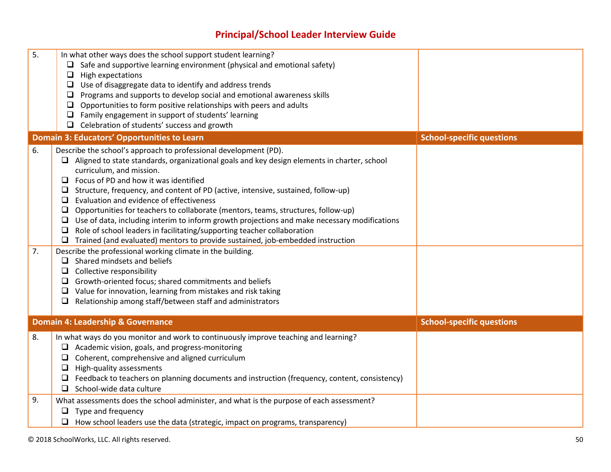# **Principal/School Leader Interview Guide**

| 5.       | In what other ways does the school support student learning?<br>$\Box$ Safe and supportive learning environment (physical and emotional safety)<br>High expectations<br>$\Box$<br>Use of disaggregate data to identify and address trends<br>$\Box$<br>Programs and supports to develop social and emotional awareness skills<br>$\Box$<br>Opportunities to form positive relationships with peers and adults<br>□<br>Family engagement in support of students' learning<br>□<br>$\Box$ Celebration of students' success and growth                                                                                                                                                                                                                                                                                                                                                                                                                                                                                                                                                                                                        |                                  |
|----------|--------------------------------------------------------------------------------------------------------------------------------------------------------------------------------------------------------------------------------------------------------------------------------------------------------------------------------------------------------------------------------------------------------------------------------------------------------------------------------------------------------------------------------------------------------------------------------------------------------------------------------------------------------------------------------------------------------------------------------------------------------------------------------------------------------------------------------------------------------------------------------------------------------------------------------------------------------------------------------------------------------------------------------------------------------------------------------------------------------------------------------------------|----------------------------------|
|          | <b>Domain 3: Educators' Opportunities to Learn</b>                                                                                                                                                                                                                                                                                                                                                                                                                                                                                                                                                                                                                                                                                                                                                                                                                                                                                                                                                                                                                                                                                         | <b>School-specific questions</b> |
| 6.<br>7. | Describe the school's approach to professional development (PD).<br>Aligned to state standards, organizational goals and key design elements in charter, school<br>curriculum, and mission.<br>$\Box$ Focus of PD and how it was identified<br>Structure, frequency, and content of PD (active, intensive, sustained, follow-up)<br>$\Box$<br>Evaluation and evidence of effectiveness<br>$\Box$<br>Opportunities for teachers to collaborate (mentors, teams, structures, follow-up)<br>$\Box$ Use of data, including interim to inform growth projections and make necessary modifications<br>Role of school leaders in facilitating/supporting teacher collaboration<br>$\Box$<br>Trained (and evaluated) mentors to provide sustained, job-embedded instruction<br>$\Box$<br>Describe the professional working climate in the building.<br>Shared mindsets and beliefs<br>□<br>Collective responsibility<br>$\Box$<br>Growth-oriented focus; shared commitments and beliefs<br>$\Box$<br>Value for innovation, learning from mistakes and risk taking<br>$\Box$<br>Relationship among staff/between staff and administrators<br>$\Box$ |                                  |
|          | <b>Domain 4: Leadership &amp; Governance</b>                                                                                                                                                                                                                                                                                                                                                                                                                                                                                                                                                                                                                                                                                                                                                                                                                                                                                                                                                                                                                                                                                               | <b>School-specific questions</b> |
| 8.       | In what ways do you monitor and work to continuously improve teaching and learning?<br>$\Box$ Academic vision, goals, and progress-monitoring<br>Coherent, comprehensive and aligned curriculum<br>$\Box$<br>$\Box$<br>High-quality assessments<br>Feedback to teachers on planning documents and instruction (frequency, content, consistency)<br>$\Box$<br>School-wide data culture<br>$\Box$                                                                                                                                                                                                                                                                                                                                                                                                                                                                                                                                                                                                                                                                                                                                            |                                  |
| 9.       | What assessments does the school administer, and what is the purpose of each assessment?<br>Type and frequency<br>$\Box$ How school leaders use the data (strategic, impact on programs, transparency)                                                                                                                                                                                                                                                                                                                                                                                                                                                                                                                                                                                                                                                                                                                                                                                                                                                                                                                                     |                                  |
|          |                                                                                                                                                                                                                                                                                                                                                                                                                                                                                                                                                                                                                                                                                                                                                                                                                                                                                                                                                                                                                                                                                                                                            |                                  |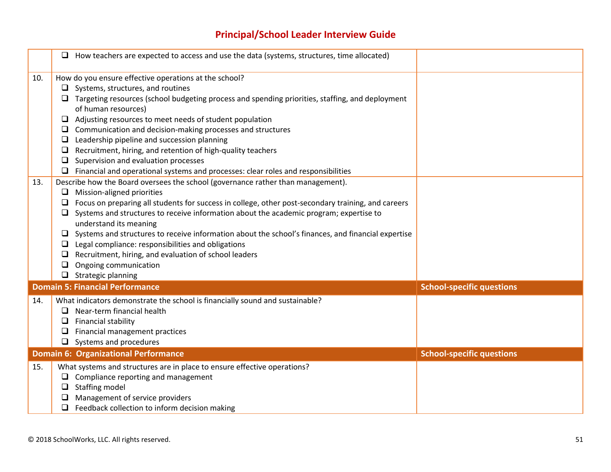# **Principal/School Leader Interview Guide**

|            | $\Box$ How teachers are expected to access and use the data (systems, structures, time allocated)                                                                                                                                                                                                                                                                                                                                                                                                                                                                                                                                                                                                                                                                                                                                                                                                                                                                                                                                                                                                                                                                                                                                                                                                           |                                  |
|------------|-------------------------------------------------------------------------------------------------------------------------------------------------------------------------------------------------------------------------------------------------------------------------------------------------------------------------------------------------------------------------------------------------------------------------------------------------------------------------------------------------------------------------------------------------------------------------------------------------------------------------------------------------------------------------------------------------------------------------------------------------------------------------------------------------------------------------------------------------------------------------------------------------------------------------------------------------------------------------------------------------------------------------------------------------------------------------------------------------------------------------------------------------------------------------------------------------------------------------------------------------------------------------------------------------------------|----------------------------------|
| 10.<br>13. | How do you ensure effective operations at the school?<br>$\Box$ Systems, structures, and routines<br>$\Box$ Targeting resources (school budgeting process and spending priorities, staffing, and deployment<br>of human resources)<br>$\Box$ Adjusting resources to meet needs of student population<br>$\Box$ Communication and decision-making processes and structures<br>Leadership pipeline and succession planning<br>$\Box$<br>Recruitment, hiring, and retention of high-quality teachers<br>$\Box$<br>Supervision and evaluation processes<br>⊔<br>$\Box$ Financial and operational systems and processes: clear roles and responsibilities<br>Describe how the Board oversees the school (governance rather than management).<br>$\Box$ Mission-aligned priorities<br>$\Box$ Focus on preparing all students for success in college, other post-secondary training, and careers<br>$\Box$ Systems and structures to receive information about the academic program; expertise to<br>understand its meaning<br>$\Box$ Systems and structures to receive information about the school's finances, and financial expertise<br>Legal compliance: responsibilities and obligations<br>Recruitment, hiring, and evaluation of school leaders<br>Ongoing communication<br>□<br>$\Box$ Strategic planning |                                  |
|            | <b>Domain 5: Financial Performance</b>                                                                                                                                                                                                                                                                                                                                                                                                                                                                                                                                                                                                                                                                                                                                                                                                                                                                                                                                                                                                                                                                                                                                                                                                                                                                      | <b>School-specific questions</b> |
| 14.        | What indicators demonstrate the school is financially sound and sustainable?<br>$\Box$ Near-term financial health<br>$\Box$ Financial stability<br>Financial management practices<br>$\Box$ Systems and procedures                                                                                                                                                                                                                                                                                                                                                                                                                                                                                                                                                                                                                                                                                                                                                                                                                                                                                                                                                                                                                                                                                          |                                  |
|            | <b>Domain 6: Organizational Performance</b>                                                                                                                                                                                                                                                                                                                                                                                                                                                                                                                                                                                                                                                                                                                                                                                                                                                                                                                                                                                                                                                                                                                                                                                                                                                                 | <b>School-specific questions</b> |
| 15.        | What systems and structures are in place to ensure effective operations?<br>$\Box$ Compliance reporting and management<br>$\Box$ Staffing model<br>Management of service providers<br>$\Box$ Feedback collection to inform decision making                                                                                                                                                                                                                                                                                                                                                                                                                                                                                                                                                                                                                                                                                                                                                                                                                                                                                                                                                                                                                                                                  |                                  |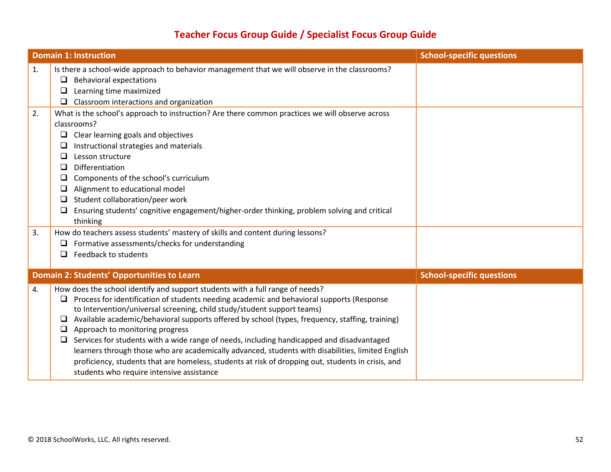# **Teacher Focus Group Guide / Specialist Focus Group Guide**

|    | <b>Domain 1: Instruction</b>                                                                                                                                                                                                                                                                                                                                                                                                                                                                                                                                                                                                                                                                                                                                         | <b>School-specific questions</b> |
|----|----------------------------------------------------------------------------------------------------------------------------------------------------------------------------------------------------------------------------------------------------------------------------------------------------------------------------------------------------------------------------------------------------------------------------------------------------------------------------------------------------------------------------------------------------------------------------------------------------------------------------------------------------------------------------------------------------------------------------------------------------------------------|----------------------------------|
| 1. | Is there a school-wide approach to behavior management that we will observe in the classrooms?<br><b>Behavioral expectations</b><br>$\Box$<br>Learning time maximized<br>⊔<br>Classroom interactions and organization<br>⊔                                                                                                                                                                                                                                                                                                                                                                                                                                                                                                                                           |                                  |
| 2. | What is the school's approach to instruction? Are there common practices we will observe across<br>classrooms?<br>Clear learning goals and objectives<br>$\Box$<br>Instructional strategies and materials<br>⊔<br>Lesson structure<br>□<br>Differentiation<br>❏<br>Components of the school's curriculum<br>u<br>Alignment to educational model<br>⊔<br>Student collaboration/peer work<br>❏<br>Ensuring students' cognitive engagement/higher-order thinking, problem solving and critical<br>⊔<br>thinking                                                                                                                                                                                                                                                         |                                  |
| 3. | How do teachers assess students' mastery of skills and content during lessons?<br>Formative assessments/checks for understanding<br>⊔<br>Feedback to students<br>□<br><b>Domain 2: Students' Opportunities to Learn</b>                                                                                                                                                                                                                                                                                                                                                                                                                                                                                                                                              | <b>School-specific questions</b> |
| 4. | How does the school identify and support students with a full range of needs?<br>Process for identification of students needing academic and behavioral supports (Response<br>□<br>to Intervention/universal screening, child study/student support teams)<br>Available academic/behavioral supports offered by school (types, frequency, staffing, training)<br>❏<br>Approach to monitoring progress<br>⊔<br>Services for students with a wide range of needs, including handicapped and disadvantaged<br>⊔<br>learners through those who are academically advanced, students with disabilities, limited English<br>proficiency, students that are homeless, students at risk of dropping out, students in crisis, and<br>students who require intensive assistance |                                  |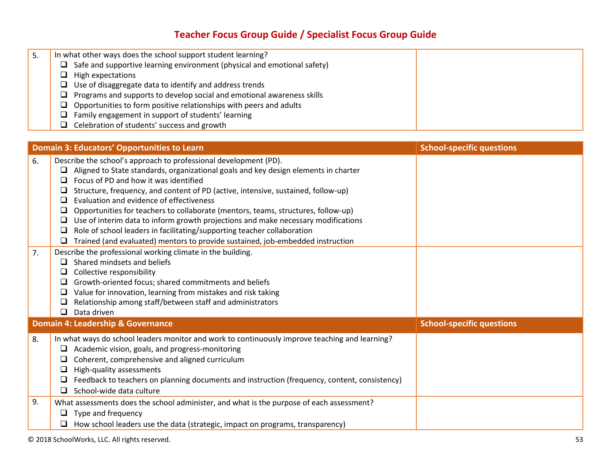# **Teacher Focus Group Guide / Specialist Focus Group Guide**

| 5. | In what other ways does the school support student learning?                      |  |
|----|-----------------------------------------------------------------------------------|--|
|    | Safe and supportive learning environment (physical and emotional safety)<br>ا اسا |  |
|    | High expectations<br>ப                                                            |  |
|    | Use of disaggregate data to identify and address trends<br>ப                      |  |
|    | $\Box$ Programs and supports to develop social and emotional awareness skills     |  |
|    | Opportunities to form positive relationships with peers and adults<br>ப           |  |
|    | Family engagement in support of students' learning<br>ا الما                      |  |
|    | Celebration of students' success and growth                                       |  |

|          | <b>Domain 3: Educators' Opportunities to Learn</b>                                                                                                                                                                                                                                                                                                                                                                                                                                                                                                                                                                                                                                                                                                                                                                                                   | <b>School-specific questions</b> |
|----------|------------------------------------------------------------------------------------------------------------------------------------------------------------------------------------------------------------------------------------------------------------------------------------------------------------------------------------------------------------------------------------------------------------------------------------------------------------------------------------------------------------------------------------------------------------------------------------------------------------------------------------------------------------------------------------------------------------------------------------------------------------------------------------------------------------------------------------------------------|----------------------------------|
| 6.<br>7. | Describe the school's approach to professional development (PD).<br>Aligned to State standards, organizational goals and key design elements in charter<br>$\Box$<br>Focus of PD and how it was identified<br>$\Box$<br>Structure, frequency, and content of PD (active, intensive, sustained, follow-up)<br>Evaluation and evidence of effectiveness<br>$\Box$<br>Opportunities for teachers to collaborate (mentors, teams, structures, follow-up)<br>Use of interim data to inform growth projections and make necessary modifications<br>❏<br>Role of school leaders in facilitating/supporting teacher collaboration<br>❏<br>Trained (and evaluated) mentors to provide sustained, job-embedded instruction<br>Describe the professional working climate in the building.<br>Shared mindsets and beliefs<br>◻<br>Collective responsibility<br>□ |                                  |
|          | Growth-oriented focus; shared commitments and beliefs<br>Value for innovation, learning from mistakes and risk taking<br>❏<br>Relationship among staff/between staff and administrators<br>Data driven<br>$\Box$                                                                                                                                                                                                                                                                                                                                                                                                                                                                                                                                                                                                                                     |                                  |
|          | Domain 4: Leadership & Governance                                                                                                                                                                                                                                                                                                                                                                                                                                                                                                                                                                                                                                                                                                                                                                                                                    | <b>School-specific questions</b> |
| 8.       | In what ways do school leaders monitor and work to continuously improve teaching and learning?<br>Academic vision, goals, and progress-monitoring<br>Coherent, comprehensive and aligned curriculum<br>□<br>High-quality assessments<br>ப<br>Feedback to teachers on planning documents and instruction (frequency, content, consistency)<br>School-wide data culture<br>$\Box$                                                                                                                                                                                                                                                                                                                                                                                                                                                                      |                                  |
| 9.       | What assessments does the school administer, and what is the purpose of each assessment?<br>Type and frequency<br>$\Box$<br>How school leaders use the data (strategic, impact on programs, transparency)<br>□                                                                                                                                                                                                                                                                                                                                                                                                                                                                                                                                                                                                                                       |                                  |

© 2018 SchoolWorks, LLC. All rights reserved. 53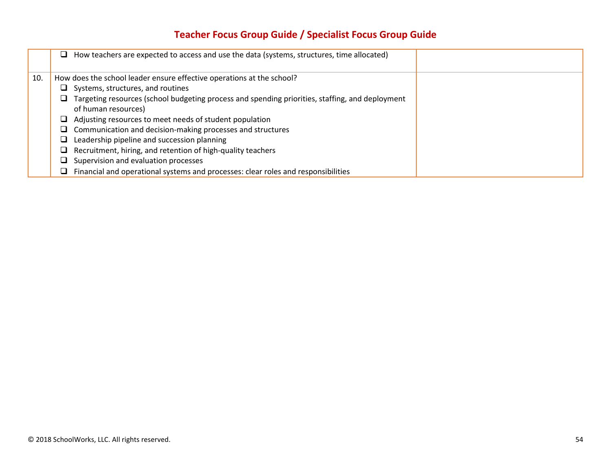# **Teacher Focus Group Guide / Specialist Focus Group Guide**

|     | How teachers are expected to access and use the data (systems, structures, time allocated)<br>⊔      |
|-----|------------------------------------------------------------------------------------------------------|
| 10. | How does the school leader ensure effective operations at the school?                                |
|     | Systems, structures, and routines                                                                    |
|     | Targeting resources (school budgeting process and spending priorities, staffing, and deployment<br>⊔ |
|     | of human resources)                                                                                  |
|     | Adjusting resources to meet needs of student population<br>⊔                                         |
|     | Communication and decision-making processes and structures                                           |
|     | Leadership pipeline and succession planning                                                          |
|     | Recruitment, hiring, and retention of high-quality teachers                                          |
|     | Supervision and evaluation processes                                                                 |
|     | Financial and operational systems and processes: clear roles and responsibilities                    |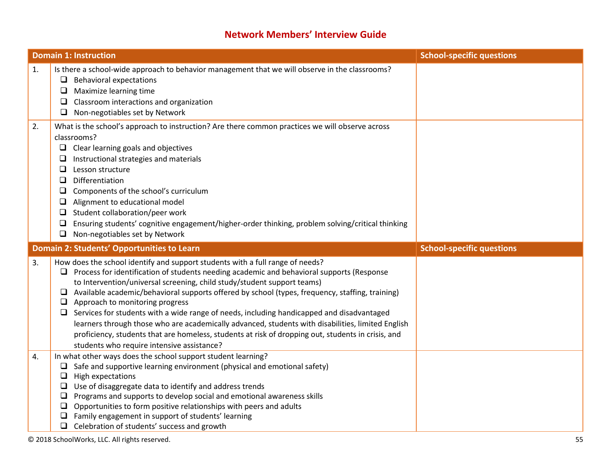# **Network Members' Interview Guide**

|    | <b>Domain 1: Instruction</b>                                                                                                                                                                                                                                                                                                                                                                                                                                                                                                                                                                                                                                                                                                        | <b>School-specific questions</b> |
|----|-------------------------------------------------------------------------------------------------------------------------------------------------------------------------------------------------------------------------------------------------------------------------------------------------------------------------------------------------------------------------------------------------------------------------------------------------------------------------------------------------------------------------------------------------------------------------------------------------------------------------------------------------------------------------------------------------------------------------------------|----------------------------------|
| 1. | Is there a school-wide approach to behavior management that we will observe in the classrooms?<br>$\Box$ Behavioral expectations<br>Maximize learning time<br>⊔<br>Classroom interactions and organization<br>⊔<br>Non-negotiables set by Network<br>u                                                                                                                                                                                                                                                                                                                                                                                                                                                                              |                                  |
| 2. | What is the school's approach to instruction? Are there common practices we will observe across<br>classrooms?<br>$\Box$ Clear learning goals and objectives<br>Instructional strategies and materials<br>❏<br>Lesson structure<br>❏<br>Differentiation<br>$\Box$<br>❏<br>Components of the school's curriculum<br>Alignment to educational model<br>$\Box$<br>Student collaboration/peer work<br>$\Box$<br>Ensuring students' cognitive engagement/higher-order thinking, problem solving/critical thinking<br>$\Box$<br>Non-negotiables set by Network<br>$\Box$                                                                                                                                                                  |                                  |
|    | Domain 2: Students' Opportunities to Learn                                                                                                                                                                                                                                                                                                                                                                                                                                                                                                                                                                                                                                                                                          | <b>School-specific questions</b> |
| 3. | How does the school identify and support students with a full range of needs?<br>$\Box$ Process for identification of students needing academic and behavioral supports (Response<br>to Intervention/universal screening, child study/student support teams)<br>Available academic/behavioral supports offered by school (types, frequency, staffing, training)<br>$\Box$<br>Approach to monitoring progress<br>⊔<br>Services for students with a wide range of needs, including handicapped and disadvantaged<br>$\Box$<br>learners through those who are academically advanced, students with disabilities, limited English<br>proficiency, students that are homeless, students at risk of dropping out, students in crisis, and |                                  |
|    | students who require intensive assistance?                                                                                                                                                                                                                                                                                                                                                                                                                                                                                                                                                                                                                                                                                          |                                  |

© 2018 SchoolWorks, LLC. All rights reserved. 55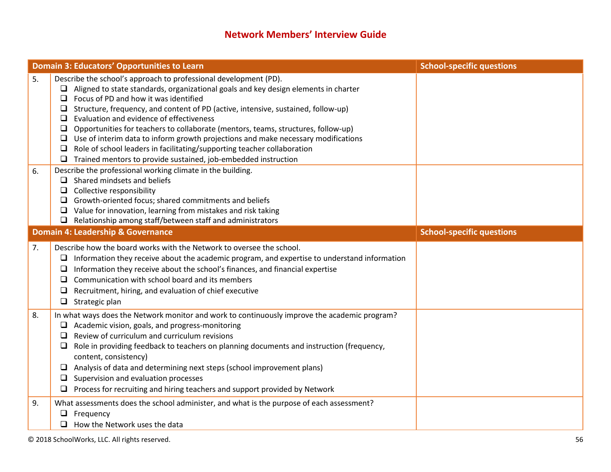# **Network Members' Interview Guide**

|    | <b>Domain 3: Educators' Opportunities to Learn</b>                                                                                                                                                                                                                                                                                                                                                                                                                                                                                                                                                                                                                                                              | <b>School-specific questions</b> |
|----|-----------------------------------------------------------------------------------------------------------------------------------------------------------------------------------------------------------------------------------------------------------------------------------------------------------------------------------------------------------------------------------------------------------------------------------------------------------------------------------------------------------------------------------------------------------------------------------------------------------------------------------------------------------------------------------------------------------------|----------------------------------|
| 5. | Describe the school's approach to professional development (PD).<br>$\Box$ Aligned to state standards, organizational goals and key design elements in charter<br>Focus of PD and how it was identified<br>□<br>Structure, frequency, and content of PD (active, intensive, sustained, follow-up)<br>u.<br>Evaluation and evidence of effectiveness<br>□<br>Opportunities for teachers to collaborate (mentors, teams, structures, follow-up)<br>□<br>Use of interim data to inform growth projections and make necessary modifications<br>$\Box$<br>Role of school leaders in facilitating/supporting teacher collaboration<br>$\Box$<br>$\Box$ Trained mentors to provide sustained, job-embedded instruction |                                  |
| 6. | Describe the professional working climate in the building.<br>$\Box$ Shared mindsets and beliefs<br>Collective responsibility<br>□<br>Growth-oriented focus; shared commitments and beliefs<br>⊔<br>$\Box$ Value for innovation, learning from mistakes and risk taking<br>$\Box$ Relationship among staff/between staff and administrators                                                                                                                                                                                                                                                                                                                                                                     |                                  |
|    | <b>Domain 4: Leadership &amp; Governance</b>                                                                                                                                                                                                                                                                                                                                                                                                                                                                                                                                                                                                                                                                    | <b>School-specific questions</b> |
| 7. | Describe how the board works with the Network to oversee the school.<br>$\Box$ Information they receive about the academic program, and expertise to understand information<br>Information they receive about the school's finances, and financial expertise<br>⊔<br>Communication with school board and its members<br>⊔<br>Recruitment, hiring, and evaluation of chief executive<br>⊔<br>$\Box$ Strategic plan                                                                                                                                                                                                                                                                                               |                                  |
| 8. | In what ways does the Network monitor and work to continuously improve the academic program?<br>$\Box$ Academic vision, goals, and progress-monitoring<br>Review of curriculum and curriculum revisions<br>□<br>Role in providing feedback to teachers on planning documents and instruction (frequency,<br>□<br>content, consistency)<br>$\Box$ Analysis of data and determining next steps (school improvement plans)<br>Supervision and evaluation processes<br>$\Box$<br>Process for recruiting and hiring teachers and support provided by Network                                                                                                                                                         |                                  |
| 9. | What assessments does the school administer, and what is the purpose of each assessment?<br>Frequency<br>$\Box$ How the Network uses the data                                                                                                                                                                                                                                                                                                                                                                                                                                                                                                                                                                   |                                  |

© 2018 SchoolWorks, LLC. All rights reserved. 56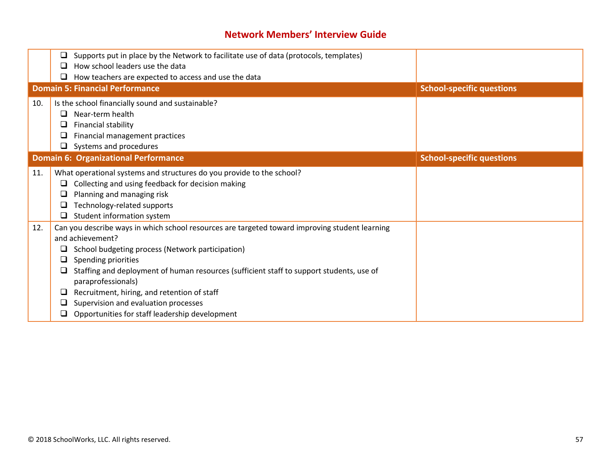# **Network Members' Interview Guide**

|     | Supports put in place by the Network to facilitate use of data (protocols, templates)<br>⊔<br>How school leaders use the data<br>❏                                                                                                                                                                                                                                                                                                                                                |                                  |
|-----|-----------------------------------------------------------------------------------------------------------------------------------------------------------------------------------------------------------------------------------------------------------------------------------------------------------------------------------------------------------------------------------------------------------------------------------------------------------------------------------|----------------------------------|
|     | How teachers are expected to access and use the data<br>❏                                                                                                                                                                                                                                                                                                                                                                                                                         |                                  |
|     | <b>Domain 5: Financial Performance</b>                                                                                                                                                                                                                                                                                                                                                                                                                                            | <b>School-specific questions</b> |
| 10. | Is the school financially sound and sustainable?<br>Near-term health<br>ப<br>Financial stability<br>ப<br>Financial management practices<br>⊔<br>Systems and procedures<br>O                                                                                                                                                                                                                                                                                                       |                                  |
|     | <b>Domain 6: Organizational Performance</b>                                                                                                                                                                                                                                                                                                                                                                                                                                       | <b>School-specific questions</b> |
| 11. | What operational systems and structures do you provide to the school?<br>Collecting and using feedback for decision making<br>Planning and managing risk<br>⊔<br>Technology-related supports<br>Student information system                                                                                                                                                                                                                                                        |                                  |
| 12. | Can you describe ways in which school resources are targeted toward improving student learning<br>and achievement?<br>School budgeting process (Network participation)<br>⊔<br>Spending priorities<br>⊔<br>Staffing and deployment of human resources (sufficient staff to support students, use of<br>paraprofessionals)<br>Recruitment, hiring, and retention of staff<br>⊔<br>Supervision and evaluation processes<br>⊔<br>Opportunities for staff leadership development<br>⊔ |                                  |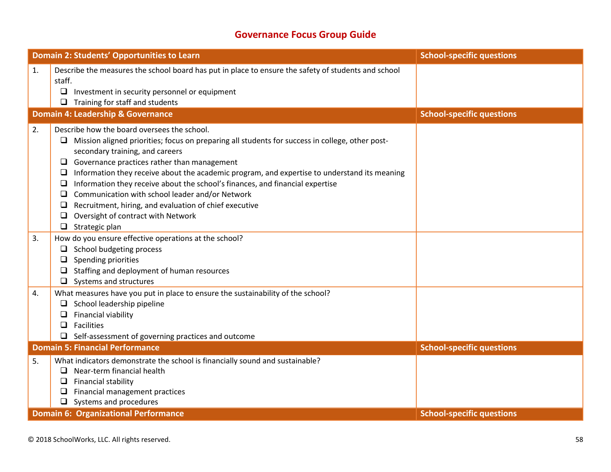# **Governance Focus Group Guide**

|    | Domain 2: Students' Opportunities to Learn                                                                                                                                                                                                                                                                                                                                                                                                                                                                                                                                                                                                     | <b>School-specific questions</b> |
|----|------------------------------------------------------------------------------------------------------------------------------------------------------------------------------------------------------------------------------------------------------------------------------------------------------------------------------------------------------------------------------------------------------------------------------------------------------------------------------------------------------------------------------------------------------------------------------------------------------------------------------------------------|----------------------------------|
| 1. | Describe the measures the school board has put in place to ensure the safety of students and school<br>staff.<br>$\Box$<br>Investment in security personnel or equipment<br>$\Box$ Training for staff and students                                                                                                                                                                                                                                                                                                                                                                                                                             |                                  |
|    | <b>Domain 4: Leadership &amp; Governance</b>                                                                                                                                                                                                                                                                                                                                                                                                                                                                                                                                                                                                   | <b>School-specific questions</b> |
| 2. | Describe how the board oversees the school.<br>$\Box$ Mission aligned priorities; focus on preparing all students for success in college, other post-<br>secondary training, and careers<br>$\Box$ Governance practices rather than management<br>Information they receive about the academic program, and expertise to understand its meaning<br>□<br>Information they receive about the school's finances, and financial expertise<br>$\Box$<br>Communication with school leader and/or Network<br>❏<br>Recruitment, hiring, and evaluation of chief executive<br>$\Box$<br>Oversight of contract with Network<br>❏<br>$\Box$ Strategic plan |                                  |
| 3. | How do you ensure effective operations at the school?<br>$\Box$ School budgeting process<br>Spending priorities<br>u<br>$\Box$ Staffing and deployment of human resources<br>$\Box$ Systems and structures                                                                                                                                                                                                                                                                                                                                                                                                                                     |                                  |
| 4. | What measures have you put in place to ensure the sustainability of the school?<br>$\Box$ School leadership pipeline<br>Financial viability<br>□<br>$\Box$ Facilities<br>$\Box$ Self-assessment of governing practices and outcome                                                                                                                                                                                                                                                                                                                                                                                                             |                                  |
|    | <b>Domain 5: Financial Performance</b>                                                                                                                                                                                                                                                                                                                                                                                                                                                                                                                                                                                                         | <b>School-specific questions</b> |
| 5. | What indicators demonstrate the school is financially sound and sustainable?<br>Near-term financial health<br>u.<br>Financial stability<br>□<br>Financial management practices<br>$\Box$ Systems and procedures                                                                                                                                                                                                                                                                                                                                                                                                                                |                                  |
|    | <b>Domain 6: Organizational Performance</b>                                                                                                                                                                                                                                                                                                                                                                                                                                                                                                                                                                                                    | <b>School-specific questions</b> |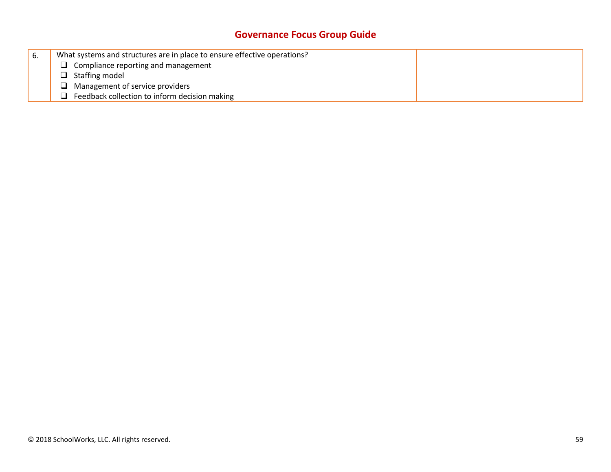# **Governance Focus Group Guide**

| ь. | What systems and structures are in place to ensure effective operations? |  |
|----|--------------------------------------------------------------------------|--|
|    | $\Box$ Compliance reporting and management                               |  |
|    | $\Box$ Staffing model                                                    |  |
|    | Management of service providers<br>u.                                    |  |
|    | Feedback collection to inform decision making                            |  |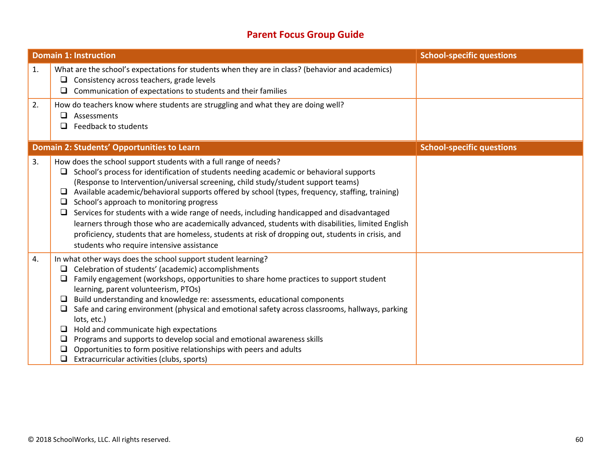# **Parent Focus Group Guide**

|    | <b>Domain 1: Instruction</b>                                                                                                                                                                                                                                                                                                                                                                                                                                                                                                                                                                                                                                                                                                                                             | <b>School-specific questions</b> |
|----|--------------------------------------------------------------------------------------------------------------------------------------------------------------------------------------------------------------------------------------------------------------------------------------------------------------------------------------------------------------------------------------------------------------------------------------------------------------------------------------------------------------------------------------------------------------------------------------------------------------------------------------------------------------------------------------------------------------------------------------------------------------------------|----------------------------------|
| 1. | What are the school's expectations for students when they are in class? (behavior and academics)<br>Consistency across teachers, grade levels<br>u.<br>Communication of expectations to students and their families<br>❏                                                                                                                                                                                                                                                                                                                                                                                                                                                                                                                                                 |                                  |
| 2. | How do teachers know where students are struggling and what they are doing well?<br>Assessments<br>□<br>Feedback to students<br>$\Box$                                                                                                                                                                                                                                                                                                                                                                                                                                                                                                                                                                                                                                   |                                  |
|    | <b>Domain 2: Students' Opportunities to Learn</b>                                                                                                                                                                                                                                                                                                                                                                                                                                                                                                                                                                                                                                                                                                                        | <b>School-specific questions</b> |
| 3. | How does the school support students with a full range of needs?<br>School's process for identification of students needing academic or behavioral supports<br>⊔<br>(Response to Intervention/universal screening, child study/student support teams)<br>Available academic/behavioral supports offered by school (types, frequency, staffing, training)<br>⊔<br>School's approach to monitoring progress<br>⊔<br>Services for students with a wide range of needs, including handicapped and disadvantaged<br>❏<br>learners through those who are academically advanced, students with disabilities, limited English<br>proficiency, students that are homeless, students at risk of dropping out, students in crisis, and<br>students who require intensive assistance |                                  |
| 4. | In what other ways does the school support student learning?<br>Celebration of students' (academic) accomplishments<br>⊔<br>Family engagement (workshops, opportunities to share home practices to support student<br>⊔<br>learning, parent volunteerism, PTOs)<br>Build understanding and knowledge re: assessments, educational components<br>❏<br>Safe and caring environment (physical and emotional safety across classrooms, hallways, parking<br>$\Box$<br>lots, etc.)<br>Hold and communicate high expectations<br>❏<br>Programs and supports to develop social and emotional awareness skills<br>❏<br>Opportunities to form positive relationships with peers and adults<br>⊔<br>Extracurricular activities (clubs, sports)<br>$\Box$                           |                                  |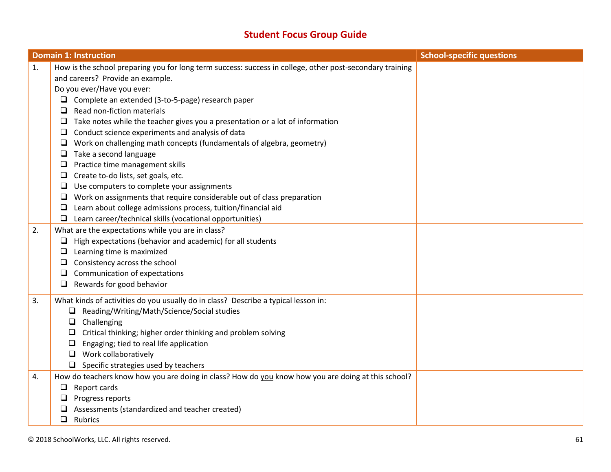# **Student Focus Group Guide**

|    | <b>Domain 1: Instruction</b>                                                                             | <b>School-specific questions</b> |
|----|----------------------------------------------------------------------------------------------------------|----------------------------------|
| 1. | How is the school preparing you for long term success: success in college, other post-secondary training |                                  |
|    | and careers? Provide an example.                                                                         |                                  |
|    | Do you ever/Have you ever:                                                                               |                                  |
|    | $\Box$ Complete an extended (3-to-5-page) research paper                                                 |                                  |
|    | Read non-fiction materials<br>□                                                                          |                                  |
|    | Take notes while the teacher gives you a presentation or a lot of information                            |                                  |
|    | Conduct science experiments and analysis of data<br>⊔                                                    |                                  |
|    | Work on challenging math concepts (fundamentals of algebra, geometry)<br>$\Box$                          |                                  |
|    | Take a second language<br>$\Box$                                                                         |                                  |
|    | Practice time management skills<br>u                                                                     |                                  |
|    | Create to-do lists, set goals, etc.<br>u                                                                 |                                  |
|    | Use computers to complete your assignments                                                               |                                  |
|    | Work on assignments that require considerable out of class preparation                                   |                                  |
|    | Learn about college admissions process, tuition/financial aid<br>⊔                                       |                                  |
|    | Learn career/technical skills (vocational opportunities)<br>$\Box$                                       |                                  |
| 2. | What are the expectations while you are in class?                                                        |                                  |
|    | High expectations (behavior and academic) for all students<br>u                                          |                                  |
|    | Learning time is maximized                                                                               |                                  |
|    | Consistency across the school                                                                            |                                  |
|    | Communication of expectations<br>⊔                                                                       |                                  |
|    | Rewards for good behavior<br>u.                                                                          |                                  |
| 3. | What kinds of activities do you usually do in class? Describe a typical lesson in:                       |                                  |
|    | $\Box$ Reading/Writing/Math/Science/Social studies                                                       |                                  |
|    | Challenging<br>$\Box$                                                                                    |                                  |
|    | Critical thinking; higher order thinking and problem solving                                             |                                  |
|    | Engaging; tied to real life application                                                                  |                                  |
|    | Work collaboratively<br>⊔                                                                                |                                  |
|    | $\Box$ Specific strategies used by teachers                                                              |                                  |
| 4. | How do teachers know how you are doing in class? How do you know how you are doing at this school?       |                                  |
|    | Report cards<br>$\Box$                                                                                   |                                  |
|    | Progress reports                                                                                         |                                  |
|    | Assessments (standardized and teacher created)                                                           |                                  |
|    | $\Box$ Rubrics                                                                                           |                                  |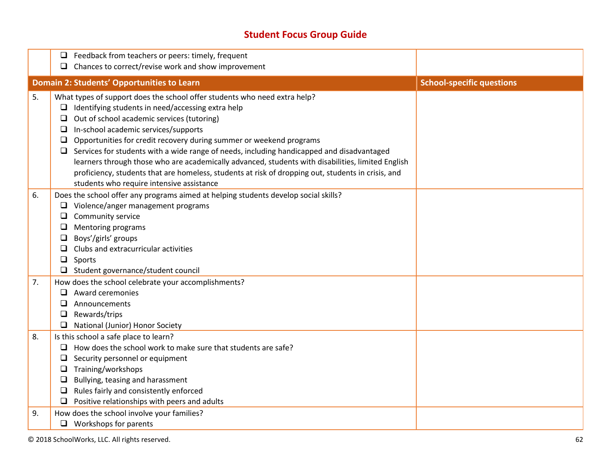# **Student Focus Group Guide**

|          | Feedback from teachers or peers: timely, frequent<br>❏                                                                                                                                                                                                                                                                                                                                                                                                                                                                                                                                                                                                                               |                                  |
|----------|--------------------------------------------------------------------------------------------------------------------------------------------------------------------------------------------------------------------------------------------------------------------------------------------------------------------------------------------------------------------------------------------------------------------------------------------------------------------------------------------------------------------------------------------------------------------------------------------------------------------------------------------------------------------------------------|----------------------------------|
|          | Chances to correct/revise work and show improvement<br>□                                                                                                                                                                                                                                                                                                                                                                                                                                                                                                                                                                                                                             |                                  |
|          | <b>Domain 2: Students' Opportunities to Learn</b>                                                                                                                                                                                                                                                                                                                                                                                                                                                                                                                                                                                                                                    | <b>School-specific questions</b> |
| 5.       | What types of support does the school offer students who need extra help?<br>Identifying students in need/accessing extra help<br>u.<br>Out of school academic services (tutoring)<br>□<br>In-school academic services/supports<br>$\Box$<br>Opportunities for credit recovery during summer or weekend programs<br>$\Box$<br>Services for students with a wide range of needs, including handicapped and disadvantaged<br>⊔<br>learners through those who are academically advanced, students with disabilities, limited English<br>proficiency, students that are homeless, students at risk of dropping out, students in crisis, and<br>students who require intensive assistance |                                  |
| 6.       | Does the school offer any programs aimed at helping students develop social skills?<br>$\Box$ Violence/anger management programs<br>Community service<br>$\Box$<br>Mentoring programs<br>❏<br>Boys'/girls' groups<br>⊔<br>Clubs and extracurricular activities<br>◻<br>$\Box$<br>Sports<br>□ Student governance/student council                                                                                                                                                                                                                                                                                                                                                      |                                  |
| 7.<br>8. | How does the school celebrate your accomplishments?<br>Award ceremonies<br>□<br>$\Box$<br>Announcements<br>Rewards/trips<br>$\Box$<br>National (Junior) Honor Society<br>Is this school a safe place to learn?<br>How does the school work to make sure that students are safe?<br>□<br>Security personnel or equipment<br>⊔                                                                                                                                                                                                                                                                                                                                                         |                                  |
| 9.       | Training/workshops<br>$\Box$<br>Bullying, teasing and harassment<br>$\Box$<br>Rules fairly and consistently enforced<br>$\Box$<br>Positive relationships with peers and adults<br>⊔<br>How does the school involve your families?<br>$\Box$ Workshops for parents                                                                                                                                                                                                                                                                                                                                                                                                                    |                                  |

© 2018 SchoolWorks, LLC. All rights reserved. 62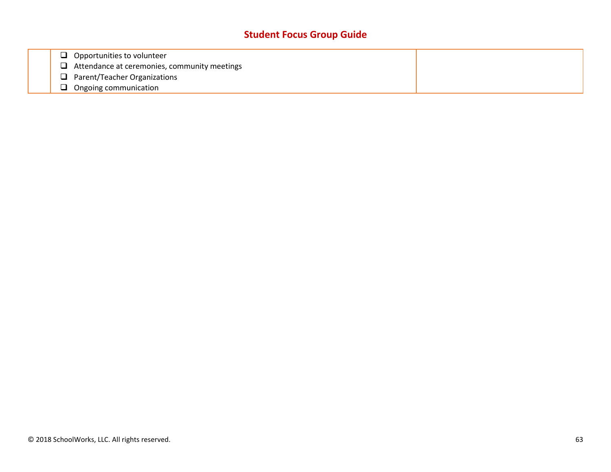# **Student Focus Group Guide**

| $\Box$ Opportunities to volunteer                   |  |
|-----------------------------------------------------|--|
| $\Box$ Attendance at ceremonies, community meetings |  |
| $\Box$ Parent/Teacher Organizations                 |  |
| Ongoing communication                               |  |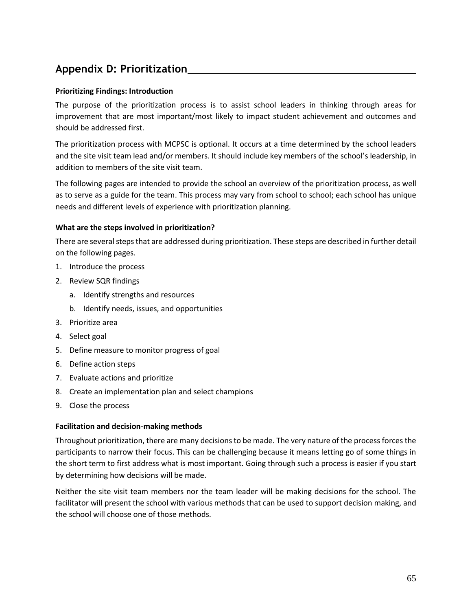# **Appendix D: Prioritization**

### **Prioritizing Findings: Introduction**

The purpose of the prioritization process is to assist school leaders in thinking through areas for improvement that are most important/most likely to impact student achievement and outcomes and should be addressed first.

The prioritization process with MCPSC is optional. It occurs at a time determined by the school leaders and the site visit team lead and/or members. It should include key members of the school's leadership, in addition to members of the site visit team.

The following pages are intended to provide the school an overview of the prioritization process, as well as to serve as a guide for the team. This process may vary from school to school; each school has unique needs and different levels of experience with prioritization planning.

#### **What are the steps involved in prioritization?**

There are several steps that are addressed during prioritization. These steps are described in further detail on the following pages.

- 1. Introduce the process
- 2. Review SQR findings
	- a. Identify strengths and resources
	- b. Identify needs, issues, and opportunities
- 3. Prioritize area
- 4. Select goal
- 5. Define measure to monitor progress of goal
- 6. Define action steps
- 7. Evaluate actions and prioritize
- 8. Create an implementation plan and select champions
- 9. Close the process

#### **Facilitation and decision-making methods**

Throughout prioritization, there are many decisions to be made. The very nature of the process forces the participants to narrow their focus. This can be challenging because it means letting go of some things in the short term to first address what is most important. Going through such a process is easier if you start by determining how decisions will be made.

Neither the site visit team members nor the team leader will be making decisions for the school. The facilitator will present the school with various methods that can be used to support decision making, and the school will choose one of those methods.